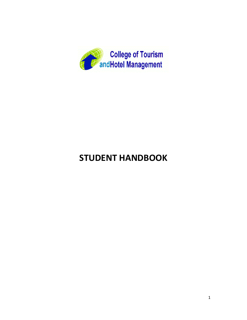

# **STUDENT HANDBOOK**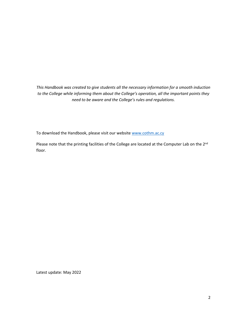*This Handbook was created to give students all the necessary information for a smooth induction to the College while informing them about the College's operation, all the important points they need to be aware and the College's rules and regulations.*

To download the Handbook, please visit our website [www.cothm.ac.cy](http://www.cothm.ac.cy/)

Please note that the printing facilities of the College are located at the Computer Lab on the 2<sup>nd</sup> floor.

Latest update: May 2022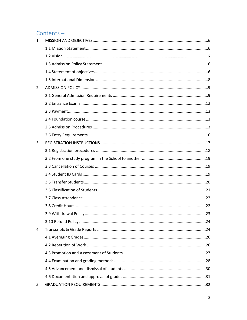# Contents-

| 1.             |  |
|----------------|--|
|                |  |
|                |  |
|                |  |
|                |  |
|                |  |
| 2.             |  |
|                |  |
|                |  |
|                |  |
|                |  |
|                |  |
|                |  |
| $\mathbf{3}$ . |  |
|                |  |
|                |  |
|                |  |
|                |  |
|                |  |
|                |  |
|                |  |
|                |  |
|                |  |
|                |  |
| 4.             |  |
|                |  |
|                |  |
|                |  |
|                |  |
|                |  |
|                |  |
| 5.             |  |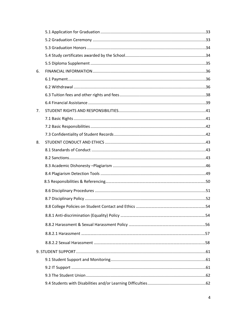| 6. |  |
|----|--|
|    |  |
|    |  |
|    |  |
|    |  |
| 7. |  |
|    |  |
|    |  |
|    |  |
| 8. |  |
|    |  |
|    |  |
|    |  |
|    |  |
|    |  |
|    |  |
|    |  |
|    |  |
|    |  |
|    |  |
|    |  |
|    |  |
|    |  |
|    |  |
|    |  |
|    |  |
|    |  |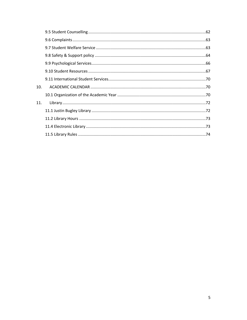| 10. |  |
|-----|--|
|     |  |
| 11. |  |
|     |  |
|     |  |
|     |  |
|     |  |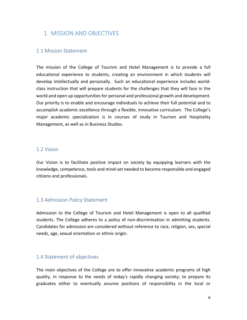## <span id="page-5-0"></span>1. MISSION AND OBJECTIVES

#### <span id="page-5-1"></span>1.1 Mission Statement

The mission of the College of Tourism and Hotel Management is to provide a full educational experience to students, creating an environment in which students will develop intellectually and personally. Such an educational experience includes worldclass instruction that will prepare students for the challenges that they will face in the world and open up opportunities for personal and professional growth and development. Our priority is to enable and encourage individuals to achieve their full potential and to accomplish academic excellence through a flexible, innovative curriculum. The College's major academic specialization is in courses of study in Tourism and Hospitality Management, as well as in Business Studies.

#### 1.2 Vision

Our Vision is to facilitate positive impact on society by equipping learners with the knowledge, competence, tools and mind-set needed to become responsible and engaged citizens and professionals.

#### <span id="page-5-2"></span>1.3 Admission Policy Statement

Admission to the College of Tourism and Hotel Management is open to all qualified students. The College adheres to a policy of non-discrimination in admitting students. Candidates for admission are considered without reference to race, religion, sex, special needs, age, sexual orientation or ethnic origin.

#### <span id="page-5-3"></span>1.4 Statement of objectives

The main objectives of the College are to offer innovative academic programs of high quality, in response to the needs of today's rapidly changing society; to prepare its graduates either to eventually assume positions of responsibility in the local or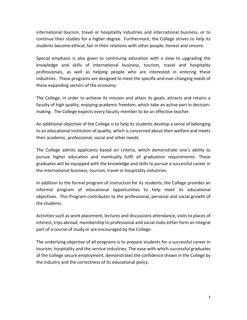international tourism, travel or hospitality industries and international business, or to continue their studies for a higher degree. Furthermore, the College strives to help its students become ethical, fair in their relations with other people, honest and sincere.

Special emphasis is also given to continuing education with a view to upgrading the knowledge and skills of international business, tourism, travel and hospitality professionals, as well as helping people who are interested in entering these industries. These programs are designed to meet the specific and ever changing needs of these expanding sectors of the economy.

The College, in order to achieve its mission and attain its goals, attracts and retains a faculty of high quality, enjoying academic freedom, which take an active part in decisionmaking. The College expects every faculty member to be an effective teacher.

An additional objective of the College is to help its students develop a sense of belonging to an educational institution of quality, which is concerned about their welfare and meets their academic, professional, social and other needs.

The College admits applicants based on criteria, which demonstrate one's ability to pursue higher education and eventually fulfil all graduation requirements. These graduates will be equipped with the knowledge and skills to pursue a successful career in the international business, tourism, travel or hospitality industries.

In addition to the formal program of instruction for its students, the College provides an informal program of educational opportunities to help meet its educational objectives. This Program contributes to the professional, personal and social growth of the students.

Activities such as work placement, lectures and discussions attendance, visits to places of interest, trips abroad, membership to professional and social clubs either form an integral part of a course of study or are encouraged by the College.

The underlying objective of all programs is to prepare students for a successful career in tourism, hospitality and the service industries. The ease with which successful graduates of the College secure employment, demonstrates the confidence shown in the College by the industry and the correctness of its educational policy.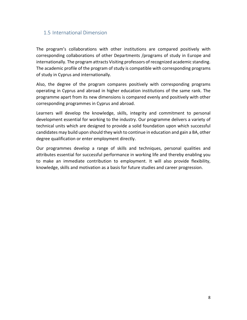### <span id="page-7-0"></span>1.5 International Dimension

The program's collaborations with other institutions are compared positively with corresponding collaborations of other Departments /programs of study in Europe and internationally. The program attracts Visiting professors of recognized academic standing. The academic profile of the program of study is compatible with corresponding programs of study in Cyprus and internationally.

Also, the degree of the program compares positively with corresponding programs operating in Cyprus and abroad in higher education institutions of the same rank. The programme apart from its new dimensions is compared evenly and positively with other corresponding programmes in Cyprus and abroad.

Learners will develop the knowledge, skills, integrity and commitment to personal development essential for working to the industry. Our programme delivers a variety of technical units which are designed to provide a solid foundation upon which successful candidates may build upon should they wish to continue in education and gain a BA, other degree qualification or enter employment directly.

Our programmes develop a range of skills and techniques, personal qualities and attributes essential for successful performance in working life and thereby enabling you to make an immediate contribution to employment. It will also provide flexibility, knowledge, skills and motivation as a basis for future studies and career progression.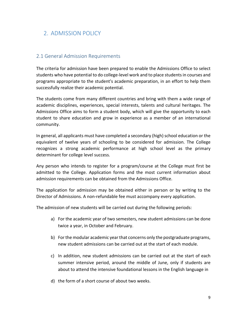# <span id="page-8-0"></span>2. ADMISSION POLICY

### <span id="page-8-1"></span>2.1 General Admission Requirements

The criteria for admission have been prepared to enable the Admissions Office to select students who have potential to do college-level work and to place students in courses and programs appropriate to the student's academic preparation, in an effort to help them successfully realize their academic potential.

The students come from many different countries and bring with them a wide range of academic disciplines, experiences, special interests, talents and cultural heritages. The Admissions Office aims to form a student body, which will give the opportunity to each student to share education and grow in experience as a member of an international community.

In general, all applicants must have completed a secondary (high) school education or the equivalent of twelve years of schooling to be considered for admission. The College recognizes a strong academic performance at high school level as the primary determinant for college level success.

Any person who intends to register for a program/course at the College must first be admitted to the College. Application forms and the most current information about admission requirements can be obtained from the Admissions Office.

The application for admission may be obtained either in person or by writing to the Director of Admissions. A non-refundable fee must accompany every application.

The admission of new students will be carried out during the following periods:

- a) For the academic year of two semesters, new student admissions can be done twice a year, in October and February.
- b) For the modular academic year that concerns only the postgraduate programs, new student admissions can be carried out at the start of each module.
- c) In addition, new student admissions can be carried out at the start of each summer intensive period, around the middle of June, only if students are about to attend the intensive foundational lessons in the English language in
- d) the form of a short course of about two weeks.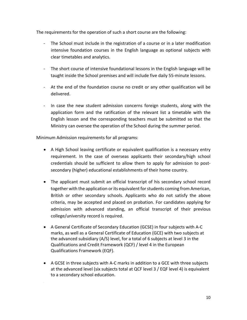The requirements for the operation of such a short course are the following:

- The School must include in the registration of a course or in a later modification intensive foundation courses in the English language as optional subjects with clear timetables and analytics.
- The short course of intensive foundational lessons in the English language will be taught inside the School premises and will include five daily 55-minute lessons.
- At the end of the foundation course no credit or any other qualification will be delivered.
- In case the new student admission concerns foreign students, along with the application form and the ratification of the relevant list a timetable with the English lesson and the corresponding teachers must be submitted so that the Ministry can oversee the operation of the School during the summer period.

Minimum Admission requirements for all programs:

- A High School leaving certificate or equivalent qualification is a necessary entry requirement. In the case of overseas applicants their secondary/high school credentials should be sufficient to allow them to apply for admission to postsecondary (higher) educational establishments of their home country.
- The applicant must submit an official transcript of his secondary school record together with the application or its equivalent for students coming from American, British or other secondary schools. Applicants who do not satisfy the above criteria, may be accepted and placed on probation. For candidates applying for admission with advanced standing, an official transcript of their previous college/university record is required.
- A General Certificate of Secondary Education (GCSE) in four subjects with A-C marks, as well as a General Certificate of Education (GCE) with two subjects at the advanced subsidiary (A/S) level, for a total of 6 subjects at level 3 in the Qualifications and Credit Framework (QCF) / level 4 in the European Qualifications Framework (EQF).
- A GCSE in three subjects with A-C marks in addition to a GCE with three subjects at the advanced level (six subjects total at QCF level 3 / EQF level 4) is equivalent to a secondary school education.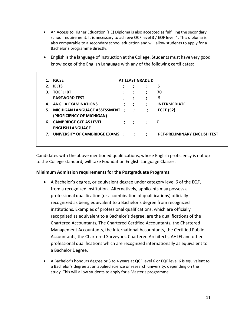- An Access to Higher Education (HE) Diploma is also accepted as fulfilling the secondary school requirement. It is necessary to achieve QCF level 3 / EQF level 4. This diploma is also comparable to a secondary school education and will allow students to apply for a Bachelor's programme directly.
- English is the language of instruction at the College. Students must have very good knowledge of the English Language with any of the following certificates:

|    | <b>IGCSE</b>                       |           |              | AT LEAST GRADE D     |                                     |
|----|------------------------------------|-----------|--------------|----------------------|-------------------------------------|
| 2. | <b>IELTS</b>                       |           | $\mathbf{r}$ | ;                    | 5                                   |
|    | 3. TOEFL IBT                       | ÷         | ÷            | $\cdot$              | 70                                  |
|    | <b>PASSWORD TEST</b>               | ÷         | ÷            | ;                    | 5                                   |
|    | 4. ANGLIA EXAMINATIONS             | ;         | ÷            | ;                    | <b>INTERMEDIATE</b>                 |
|    | 5. MICHIGAN LANGUAGE ASSESSMENT    | $\cdot$ : | $\cdot$      | ÷                    | <b>ECCE (52)</b>                    |
|    | (PROFICIENCY OF MICHIGAN)          |           |              |                      |                                     |
|    | 6. CAMBRIDGE GCE AS LEVEL          | ÷         | $\cdot$ :    | $\cdot$              |                                     |
|    | <b>ENGLISH LANGUAGE</b>            |           |              |                      |                                     |
|    | 7. UNIVERSITY OF CAMBRIDGE EXAMS : |           |              | $\ddot{\phantom{0}}$ | <b>PET-PRELIMINARY ENGLISH TEST</b> |
|    |                                    |           |              |                      |                                     |

Candidates with the above mentioned qualifications, whose English proficiency is not up to the College standard, will take Foundation English Language Classes.

#### **Minimum Admission requirements for the Postgraduate Programs:**

- A Bachelor's degree, or equivalent degree under category level 6 of the EQF, from a recognized institution. Alternatively, applicants may possess a professional qualification (or a combination of qualifications) officially recognized as being equivalent to a Bachelor's degree from recognized institutions. Examples of professional qualifications, which are officially recognized as equivalent to a Bachelor's degree, are the qualifications of the Chartered Accountants, The Chartered Certified Accountants, the Chartered Management Accountants, the International Accountants, the Certified Public Accountants, the Chartered Surveyors, Chartered Architects, AHLEI and other professional qualifications which are recognized internationally as equivalent to a Bachelor Degree.
- A Bachelor's honours degree or 3 to 4 years at QCF level 6 or EQF level 6 is equivalent to a Bachelor's degree at an applied science or research university, depending on the study. This will allow students to apply for a Master's programme.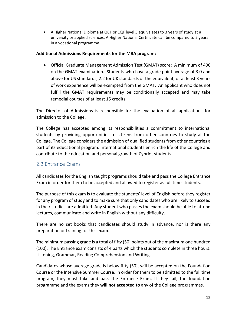A Higher National Diploma at QCF or EQF level 5 equivalates to 3 years of study at a university or applied sciences. A Higher National Certificate can be compared to 2 years in a vocational programme.

#### **Additional Admissions Requirements for the MBA program:**

 Official Graduate Management Admission Test (GMAT) score: A minimum of 400 on the GMAT examination. Students who have a grade point average of 3.0 and above for US standards, 2.2 for UK standards or the equivalent, or at least 3 years of work experience will be exempted from the GMAT. An applicant who does not fulfill the GMAT requirements may be conditionally accepted and may take remedial courses of at least 15 credits.

The Director of Admissions is responsible for the evaluation of all applications for admission to the College.

The College has accepted among its responsibilities a commitment to international students by providing opportunities to citizens from other countries to study at the College. The College considers the admission of qualified students from other countries a part of its educational program. International students enrich the life of the College and contribute to the education and personal growth of Cypriot students.

### <span id="page-11-0"></span>2.2 Entrance Exams

All candidates for the English taught programs should take and pass the College Entrance Exam in order for them to be accepted and allowed to register as full time students.

The purpose of this exam is to evaluate the students' level of English before they register for any program of study and to make sure that only candidates who are likely to succeed in their studies are admitted. Any student who passes the exam should be able to attend lectures, communicate and write in English without any difficulty.

There are no set books that candidates should study in advance, nor is there any preparation or training for this exam.

The minimum passing grade is a total of fifty (50) points out of the maximum one hundred (100). The Entrance exam consists of 4 parts which the students complete in three hours: Listening, Grammar, Reading Comprehension and Writing.

Candidates whose average grade is below fifty (50), will be accepted on the Foundation Course or the Intensive Summer Course. In order for them to be admitted to the full time program, they must take and pass the Entrance Exam. If they fail, the foundation programme and the exams they **will not accepted to** any of the College programmes.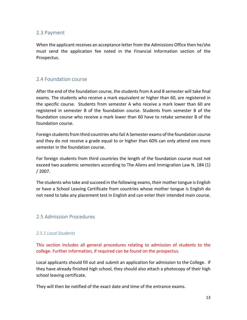### <span id="page-12-0"></span>2.3 Payment

When the applicant receives an acceptance letter from the Admissions Office then he/she must send the application fee noted in the Financial Information section of the Prospectus.

### <span id="page-12-1"></span>2.4 Foundation course

After the end of the foundation course, the students from A and B semester will take final exams. The students who receive a mark equivalent or higher than 60, are registered in the specific course. Students from semester A who receive a mark lower than 60 are registered in semester B of the foundation course. Students from semester B of the foundation course who receive a mark lower than 60 have to retake semester B of the foundation course.

Foreign students from third countries who fail A Semester exams of the foundation course and they do not receive a grade equal to or higher than 60% can only attend one more semester in the foundation course.

For foreign students from third countries the length of the foundation course must not exceed two academic semesters according to The Aliens and Immigration Law N. 184 (1) / 2007.

The students who take and succeed in the following exams, their mother tongue is English or have a School Leaving Certificate from countries whose mother tongue is English do not need to take any placement test in English and can enter their intended main course.

### <span id="page-12-2"></span>2.5 Admission Procedures

#### *2.5.1 Local Students*

This section includes all general procedures relating to admission of students to the college. Further information, if required can be found on the prospectus.

Local applicants should fill out and submit an application for admission to the College. If they have already finished high school, they should also attach a photocopy of their high school leaving certificate.

They will then be notified of the exact date and time of the entrance exams.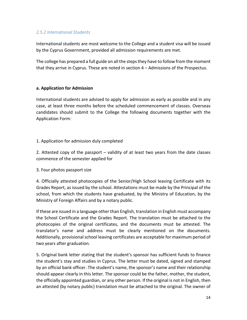#### *2.5.2 International Students*

International students are most welcome to the College and a student visa will be issued by the Cyprus Government, provided all admission requirements are met.

The college has prepared a full guide on all the steps they have to follow from the moment that they arrive in Cyprus. These are noted in section 4 – Admissions of the Prospectus.

#### **a. Application for Admission**

International students are advised to apply for admission as early as possible and in any case, at least three months before the scheduled commencement of classes. Overseas candidates should submit to the College the following documents together with the Application Form:

#### 1. Application for admission duly completed

2. Attested copy of the passport – validity of at least two years from the date classes commence of the semester applied for

3. Four photos passport size

4. Officially attested photocopies of the Senior/High School leaving Certificate with its Grades Report, as issued by the school. Attestations must be made by the Principal of the school, from which the students have graduated, by the Ministry of Education, by the Ministry of Foreign Affairs and by a notary public.

If these are issued in a language other than English, translation in English must accompany the School Certificate and the Grades Report. The translation must be attached to the photocopies of the original certificates, and the documents must be attested. The translator's name and address must be clearly mentioned on the documents. Additionally, provisional school leaving certificates are acceptable for maximum period of two years after graduation.

5. Original bank letter stating that the student's sponsor has sufficient funds to finance the student's stay and studies in Cyprus. The letter must be dated, signed and stamped by an official bank officer. The student's name, the sponsor's name and their relationship should appear clearly in this letter. The sponsor could be the father, mother, the student, the officially appointed guardian, or any other person. If the original is not in English, then an attested (by notary public) translation must be attached to the original. The owner of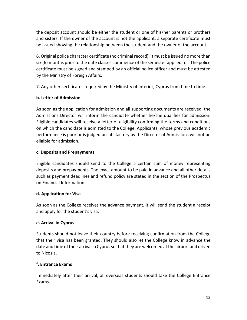the deposit account should be either the student or one of his/her parents or brothers and sisters. If the owner of the account is not the applicant, a separate certificate must be issued showing the relationship between the student and the owner of the account.

6. Original police character certificate (no criminal record). It must be issued no more than six (6) months prior to the date classes commence of the semester applied for. The police certificate must be signed and stamped by an official police officer and must be attested by the Ministry of Foreign Affairs.

7. Any other certificates required by the Ministry of Interior, Cyprus from time to time.

### **b. Letter of Admission**

As soon as the application for admission and all supporting documents are received, the Admissions Director will inform the candidate whether he/she qualifies for admission. Eligible candidates will receive a letter of eligibility confirming the terms and conditions on which the candidate is admitted to the College. Applicants, whose previous academic performance is poor or is judged unsatisfactory by the Director of Admissions will not be eligible for admission.

#### **c. Deposits and Prepayments**

Eligible candidates should send to the College a certain sum of money representing deposits and prepayments. The exact amount to be paid in advance and all other details such as payment deadlines and refund policy are stated in the section of the Prospectus on Financial Information.

#### **d. Application for Visa**

As soon as the College receives the advance payment, it will send the student a receipt and apply for the student's visa.

### **e. Arrival in Cyprus**

Students should not leave their country before receiving confirmation from the College that their visa has been granted. They should also let the College know in advance the date and time of their arrival in Cyprus so that they are welcomed at the airport and driven to Nicosia.

### **f. Entrance Exams**

Immediately after their arrival, all overseas students should take the College Entrance Exams.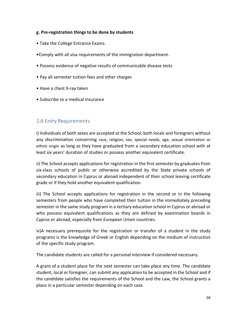#### **g. Pre-registration things to be done by students**

- Take the College Entrance Exams.
- •Comply with all visa requirements of the immigration department.
- Possess evidence of negative results of communicable disease tests
- Pay all semester tuition fees and other charges
- Have a chest X-ray taken
- Subscribe to a medical insurance

### <span id="page-15-0"></span>2.6 Entry Requirements

i) Individuals of both sexes are accepted at the School, both locals and foreigners without any discrimination concerning race, religion, sex, special needs, age, sexual orientation or ethnic origin as long as they have graduated from a secondary education school with at least six years' duration of studies or possess another equivalent certificate.

ii) The School accepts applications for registration in the first semester by graduates from six-class schools of public or otherwise accredited by the State private schools of secondary education in Cyprus or abroad independent of their school leaving certificate grade or if they hold another equivalent qualification.

iii) The School accepts applications for registration in the second or in the following semesters from people who have completed their tuition in the immediately preceding semester in the same study program in a tertiary education school in Cyprus or abroad or who possess equivalent qualifications as they are defined by examination boards in Cyprus or abroad, especially from European Union countries.

iv)A necessary prerequisite for the registration or transfer of a student in the study programs is the knowledge of Greek or English depending on the medium of instruction of the specific study program.

The candidate students are called for a personal interview if considered necessary.

A grant of a student place for the next semester can take place any time. The candidate student, local or foreigner, can submit any application to be accepted in the School and if the candidate satisfies the requirements of the School and the Law, the School grants a place in a particular semester depending on each case.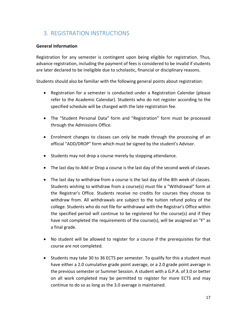# <span id="page-16-0"></span>3. REGISTRATION INSTRUCTIONS

#### **General Information**

Registration for any semester is contingent upon being eligible for registration. Thus, advance registration, including the payment of fees is considered to be invalid if students are later declared to be ineligible due to scholastic, financial or disciplinary reasons.

Students should also be familiar with the following general points about registration:

- Registration for a semester is conducted under a Registration Calendar (please refer to the Academic Calendar). Students who do not register according to the specified schedule will be charged with the late registration fee.
- The "Student Personal Data" form and "Registration" form must be processed through the Admissions Office.
- Enrolment changes to classes can only be made through the processing of an official "ADD/DROP" form which must be signed by the student's Advisor.
- Students may not drop a course merely by stopping attendance.
- The last day to Add or Drop a course is the last day of the second week of classes.
- The last day to withdraw from a course is the last day of the 8th week of classes. Students wishing to withdraw from a course(s) must file a "Withdrawal" form at the Registrar's Office. Students receive no credits for courses they choose to withdraw from. All withdrawals are subject to the tuition refund policy of the college. Students who do not file for withdrawal with the Registrar's Office within the specified period will continue to be registered for the course(s) and if they have not completed the requirements of the course(s), will be assigned an "F" as a final grade.
- No student will be allowed to register for a course if the prerequisites for that course are not completed.
- Students may take 30 to 36 ECTS per semester. To qualify for this a student must have either a 2.0 cumulative grade point average, or a 2.0 grade point average in the previous semester or Summer Session. A student with a G.P.A. of 3.0 or better on all work completed may be permitted to register for more ECTS and may continue to do so as long as the 3.0 average is maintained.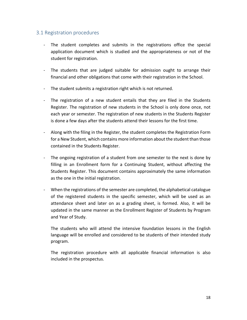### <span id="page-17-0"></span>3.1 Registration procedures

- The student completes and submits in the registrations office the special application document which is studied and the appropriateness or not of the student for registration.
- The students that are judged suitable for admission ought to arrange their financial and other obligations that come with their registration in the School.
- The student submits a registration right which is not returned.
- The registration of a new student entails that they are filed in the Students Register. The registration of new students in the School is only done once, not each year or semester. The registration of new students in the Students Register is done a few days after the students attend their lessons for the first time.
- Along with the filing in the Register, the student completes the Registration Form for a New Student, which contains more information about the student than those contained in the Students Register.
- The ongoing registration of a student from one semester to the next is done by filling in an Enrollment form for a Continuing Student, without affecting the Students Register. This document contains approximately the same information as the one in the initial registration.
- When the registrations of the semester are completed, the alphabetical catalogue of the registered students in the specific semester, which will be used as an attendance sheet and later on as a grading sheet, is formed. Also, it will be updated in the same manner as the Enrollment Register of Students by Program and Year of Study.

The students who will attend the intensive foundation lessons in the English language will be enrolled and considered to be students of their intended study program.

The registration procedure with all applicable financial information is also included in the prospectus.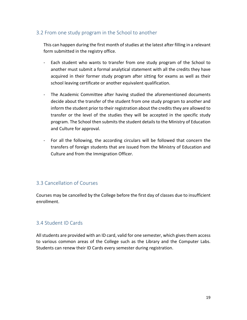### <span id="page-18-0"></span>3.2 From one study program in the School to another

This can happen during the first month of studies at the latest after filling in a relevant form submitted in the registry office.

- Each student who wants to transfer from one study program of the School to another must submit a formal analytical statement with all the credits they have acquired in their former study program after sitting for exams as well as their school leaving certificate or another equivalent qualification.
- The Academic Committee after having studied the aforementioned documents decide about the transfer of the student from one study program to another and inform the student prior to their registration about the credits they are allowed to transfer or the level of the studies they will be accepted in the specific study program. The School then submits the student details to the Ministry of Education and Culture for approval.
- For all the following, the according circulars will be followed that concern the transfers of foreign students that are issued from the Ministry of Education and Culture and from the Immigration Officer.

### <span id="page-18-1"></span>3.3 Cancellation of Courses

Courses may be cancelled by the College before the first day of classes due to insufficient enrollment.

### <span id="page-18-2"></span>3.4 Student ID Cards

All students are provided with an ID card, valid for one semester, which gives them access to various common areas of the College such as the Library and the Computer Labs. Students can renew their ID Cards every semester during registration.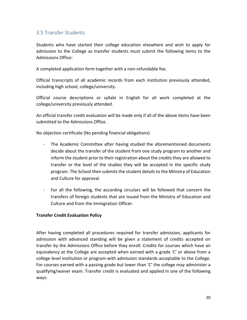### <span id="page-19-0"></span>3.5 Transfer Students

Students who have started their college education elsewhere and wish to apply for admission to the College as transfer students must submit the following items to the Admissions Office:

A completed application form together with a non-refundable fee.

Official transcripts of all academic records from each institution previously attended, including high school, college/university.

Official course descriptions or syllabi in English for all work completed at the college/university previously attended.

An official transfer credit evaluation will be made only if all of the above items have been submitted to the Admissions Office.

No objection certificate (No pending financial obligations)

- The Academic Committee after having studied the aforementioned documents decide about the transfer of the student from one study program to another and inform the student prior to their registration about the credits they are allowed to transfer or the level of the studies they will be accepted in the specific study program. The School then submits the student details to the Ministry of Education and Culture for approval.
- For all the following, the according circulars will be followed that concern the transfers of foreign students that are issued from the Ministry of Education and Culture and from the Immigration Officer.

#### **Transfer Credit Evaluation Policy**

After having completed all procedures required for transfer admission, applicants for admission with advanced standing will be given a statement of credits accepted on transfer by the Admissions Office before they enroll. Credits for courses which have an equivalency at the College are accepted when earned with a grade 'C' or above from a college level institution or program with admission standards acceptable to the College. For courses earned with a passing grade but lower than 'C' the college may administer a qualifying/waiver exam. Transfer credit is evaluated and applied in one of the following ways: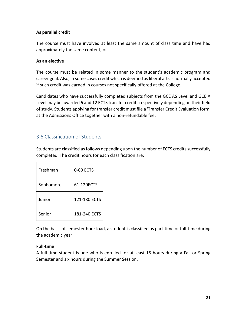#### **As parallel credit**

The course must have involved at least the same amount of class time and have had approximately the same content; or

#### **As an elective**

The course must be related in some manner to the student's academic program and career goal. Also, in some cases credit which is deemed as liberal arts is normally accepted if such credit was earned in courses not specifically offered at the College.

Candidates who have successfully completed subjects from the GCE AS Level and GCE A Level may be awarded 6 and 12 ECTS transfer credits respectively depending on their field of study. Students applying for transfer credit must file a 'Transfer Credit Evaluation form' at the Admissions Office together with a non-refundable fee.

### <span id="page-20-0"></span>3.6 Classification of Students

Students are classified as follows depending upon the number of ECTS credits successfully completed. The credit hours for each classification are:

| Freshman  | 0-60 FCTS    |
|-----------|--------------|
| Sophomore | 61-120ECTS   |
| Junior    | 121-180 ECTS |
| Senior    | 181-240 ECTS |

On the basis of semester hour load, a student is classified as part-time or full-time during the academic year.

#### **Full-time**

A full-time student is one who is enrolled for at least 15 hours during a Fall or Spring Semester and six hours during the Summer Session.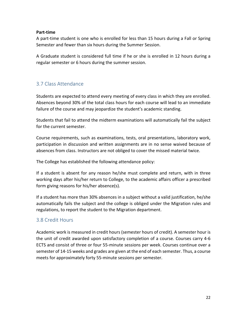#### **Part-time**

A part-time student is one who is enrolled for less than 15 hours during a Fall or Spring Semester and fewer than six hours during the Summer Session.

A Graduate student is considered full time if he or she is enrolled in 12 hours during a regular semester or 6 hours during the summer session.

### <span id="page-21-0"></span>3.7 Class Attendance

Students are expected to attend every meeting of every class in which they are enrolled. Absences beyond 30% of the total class hours for each course will lead to an immediate failure of the course and may jeopardize the student's academic standing.

Students that fail to attend the midterm examinations will automatically fail the subject for the current semester.

Course requirements, such as examinations, tests, oral presentations, laboratory work, participation in discussion and written assignments are in no sense waived because of absences from class. Instructors are not obliged to cover the missed material twice.

The College has established the following attendance policy:

If a student is absent for any reason he/she must complete and return, with in three working days after his/her return to College, to the academic affairs officer a prescribed form giving reasons for his/her absence(s).

If a student has more than 30% absences in a subject without a valid justification, he/she automatically fails the subject and the college is obliged under the Migration rules and regulations, to report the student to the Migration department.

### <span id="page-21-1"></span>3.8 Credit Hours

Academic work is measured in credit hours (semester hours of credit). A semester hour is the unit of credit awarded upon satisfactory completion of a course. Courses carry 4-6 ECTS and consist of three or four 55-minute sessions per week. Courses continue over a semester of 14-15 weeks and grades are given at the end of each semester. Thus, a course meets for approximately forty 55-minute sessions per semester.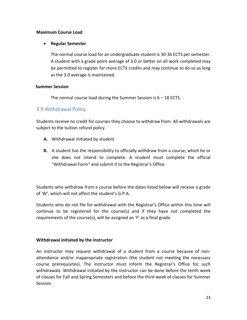#### **Maximum Course Load**

#### **Regular Semester**

The normal course load for an undergraduate student is 30-36 ECTS per semester. A student with a grade point average of 3.0 or better on all work completed may be permitted to register for more ECTS credits and may continue to do so as long as the 3.0 average is maintained.

#### **Summer Session**

The normal course load during the Summer Session is 6 – 18 ECTS.

### <span id="page-22-0"></span>3.9 Withdrawal Policy

Students receive no credit for courses they choose to withdraw from. All withdrawals are subject to the tuition refund policy.

- **A.** Withdrawal initiated by student
- **B.** A student has the responsibility to officially withdraw from a course, which he or she does not intend to complete. A student must complete the official "Withdrawal Form" and submit it to the Registrar's Office.

Students who withdraw from a course before the dates listed below will receive a grade of 'W', which will not affect the student's G.P.A.

Students who do not file for withdrawal with the Registrar's Office within this time will continue to be registered for the course(s) and if they have not completed the requirements of the course(s), will be assigned an 'F' as a final grade.

#### **Withdrawal initiated by the instructor**

An instructor may request withdrawal of a student from a course because of nonattendance and/or inappropriate registration (the student not meeting the necessary course prerequisites). The instructor must inform the Registrar's Office for such withdrawals. Withdrawal initiated by the instructor can be done before the tenth week of classes for Fall and Spring Semesters and before the third week of classes for Summer Session.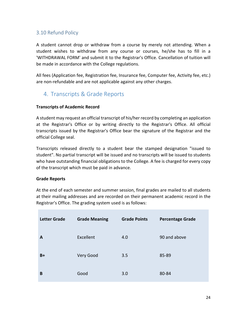### <span id="page-23-0"></span>3.10 Refund Policy

A student cannot drop or withdraw from a course by merely not attending. When a student wishes to withdraw from any course or courses, he/she has to fill in a 'WITHDRAWAL FORM' and submit it to the Registrar's Office. Cancellation of tuition will be made in accordance with the College regulations.

All fees (Application fee, Registration fee, Insurance fee, Computer fee, Activity fee, etc.) are non-refundable and are not applicable against any other charges.

# <span id="page-23-1"></span>4. Transcripts & Grade Reports

### **Transcripts of Academic Record**

A student may request an official transcript of his/her record by completing an application at the Registrar's Office or by writing directly to the Registrar's Office. All official transcripts issued by the Registrar's Office bear the signature of the Registrar and the official College seal.

Transcripts released directly to a student bear the stamped designation "issued to student". No partial transcript will be issued and no transcripts will be issued to students who have outstanding financial obligations to the College. A fee is charged for every copy of the transcript which must be paid in advance.

#### **Grade Reports**

At the end of each semester and summer session, final grades are mailed to all students at their mailing addresses and are recorded on their permanent academic record in the Registrar's Office. The grading system used is as follows:

| <b>Letter Grade</b> | <b>Grade Meaning</b> | <b>Grade Points</b> | <b>Percentage Grade</b> |
|---------------------|----------------------|---------------------|-------------------------|
| A                   | Excellent            | 4.0                 | 90 and above            |
| $B+$                | Very Good            | 3.5                 | 85-89                   |
| B                   | Good                 | 3.0                 | 80-84                   |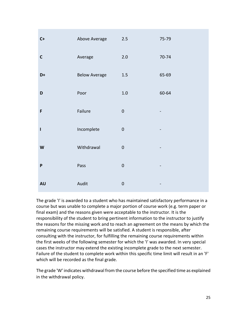| $C+$                      | Above Average        | $2.5$            | 75-79                    |
|---------------------------|----------------------|------------------|--------------------------|
| $\mathsf C$               | Average              | 2.0              | 70-74                    |
| $\mathsf{D}+$             | <b>Below Average</b> | $1.5\,$          | 65-69                    |
| D                         | Poor                 | $1.0\,$          | 60-64                    |
| F                         | Failure              | $\boldsymbol{0}$ |                          |
| I                         | Incomplete           | $\boldsymbol{0}$ | -                        |
| $\boldsymbol{\mathsf{W}}$ | Withdrawal           | $\boldsymbol{0}$ |                          |
| $\boldsymbol{\mathsf{P}}$ | Pass                 | $\mathbf 0$      |                          |
| <b>AU</b>                 | Audit                | $\mathbf 0$      | $\overline{\phantom{a}}$ |

The grade 'I' is awarded to a student who has maintained satisfactory performance in a course but was unable to complete a major portion of course work (e.g. term paper or final exam) and the reasons given were acceptable to the instructor. It is the responsibility of the student to bring pertinent information to the instructor to justify the reasons for the missing work and to reach an agreement on the means by which the remaining course requirements will be satisfied. A student is responsible, after consulting with the instructor, for fulfilling the remaining course requirements within the first weeks of the following semester for which the 'I' was awarded. In very special cases the instructor may extend the existing incomplete grade to the next semester. Failure of the student to complete work within this specific time limit will result in an 'F' which will be recorded as the final grade.

The grade 'W' indicates withdrawal from the course before the specified time as explained in the withdrawal policy.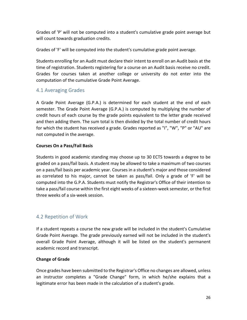Grades of 'P' will not be computed into a student's cumulative grade point average but will count towards graduation credits.

Grades of 'F' will be computed into the student's cumulative grade point average.

Students enrolling for an Audit must declare their intent to enroll on an Audit basis at the time of registration. Students registering for a course on an Audit basis receive no credit. Grades for courses taken at another college or university do not enter into the computation of the cumulative Grade Point Average.

### <span id="page-25-0"></span>4.1 Averaging Grades

A Grade Point Average (G.P.A.) is determined for each student at the end of each semester. The Grade Point Average (G.P.A.) is computed by multiplying the number of credit hours of each course by the grade points equivalent to the letter grade received and then adding them. The sum total is then divided by the total number of credit hours for which the student has received a grade. Grades reported as "I", "W", "P" or "AU" are not computed in the average.

### **Courses On a Pass/Fail Basis**

Students in good academic standing may choose up to 30 ECTS towards a degree to be graded on a pass/fail basis. A student may be allowed to take a maximum of two courses on a pass/fail basis per academic year. Courses in a student's major and those considered as correlated to his major, cannot be taken as pass/fail. Only a grade of 'F' will be computed into the G.P.A. Students must notify the Registrar's Office of their intention to take a pass/fail course within the first eight weeks of a sixteen-week semester, or the first three weeks of a six-week session.

### <span id="page-25-1"></span>4.2 Repetition of Work

If a student repeats a course the new grade will be included in the student's Cumulative Grade Point Average. The grade previously earned will not be included in the student's overall Grade Point Average, although it will be listed on the student's permanent academic record and transcript.

### **Change of Grade**

Once grades have been submitted to the Registrar's Office no changes are allowed, unless an instructor completes a "Grade Change" form, in which he/she explains that a legitimate error has been made in the calculation of a student's grade.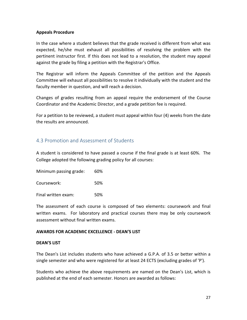#### **Appeals Procedure**

In the case where a student believes that the grade received is different from what was expected, he/she must exhaust all possibilities of resolving the problem with the pertinent instructor first. If this does not lead to a resolution, the student may appeal against the grade by filing a petition with the Registrar's Office.

The Registrar will inform the Appeals Committee of the petition and the Appeals Committee will exhaust all possibilities to resolve it individually with the student and the faculty member in question, and will reach a decision.

Changes of grades resulting from an appeal require the endorsement of the Course Coordinator and the Academic Director, and a grade petition fee is required.

For a petition to be reviewed, a student must appeal within four (4) weeks from the date the results are announced.

### <span id="page-26-0"></span>4.3 Promotion and Assessment of Students

A student is considered to have passed a course if the final grade is at least 60%. The College adopted the following grading policy for all courses:

Minimum passing grade: 60%

Coursework: 50%

Final written exam: 50%

The assessment of each course is composed of two elements: coursework and final written exams. For laboratory and practical courses there may be only coursework assessment without final written exams.

#### **AWARDS FOR ACADEMIC EXCELLENCE - DEAN'S LIST**

#### **DEAN'S LIST**

The Dean's List includes students who have achieved a G.P.A. of 3.5 or better within a single semester and who were registered for at least 24 ECTS (excluding grades of 'P').

Students who achieve the above requirements are named on the Dean's List, which is published at the end of each semester. Honors are awarded as follows: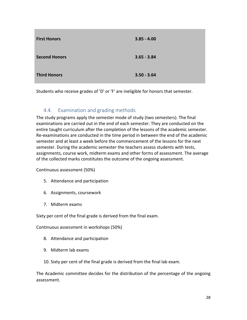| <b>First Honors</b>  | $3.85 - 4.00$ |
|----------------------|---------------|
| <b>Second Honors</b> | $3.65 - 3.84$ |
| <b>Third Honors</b>  | $3.50 - 3.64$ |

Students who receive grades of 'D' or 'F' are ineligible for honors that semester.

### <span id="page-27-0"></span>4.4. Examination and grading methods

The study programs apply the semester mode of study (two semesters). The final examinations are carried out in the end of each semester. They are conducted on the entire taught curriculum after the completion of the lessons of the academic semester. Re-examinations are conducted in the time period in between the end of the academic semester and at least a week before the commencement of the lessons for the next semester. During the academic semester the teachers assess students with tests, assignments, course work, midterm exams and other forms of assessment. The average of the collected marks constitutes the outcome of the ongoing assessment.

Continuous assessment (50%)

- 5. Attendance and participation
- 6. Assignments, coursework
- 7. Midterm exams

Sixty per cent of the final grade is derived from the final exam.

Continuous assessment in workshops (50%)

- 8. Attendance and participation
- 9. Midterm lab exams
- 10. Sixty per cent of the final grade is derived from the final lab exam.

The Academic committee decides for the distribution of the percentage of the ongoing assessment.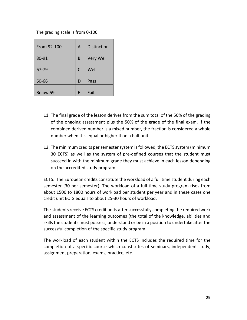The grading scale is from 0-100.

| From 92-100     | A | <b>Distinction</b> |
|-----------------|---|--------------------|
| 80-91           | B | Very Well          |
| 67-79           | C | Well               |
| 60-66           | D | Pass               |
| <b>Below 59</b> | F | Fail               |

- 11. The final grade of the lesson derives from the sum total of the 50% of the grading of the ongoing assessment plus the 50% of the grade of the final exam. If the combined derived number is a mixed number, the fraction is considered a whole number when it is equal or higher than a half unit.
- 12. The minimum credits per semester system is followed, the ECTS system (minimum 30 ECTS) as well as the system of pre-defined courses that the student must succeed in with the minimum grade they must achieve in each lesson depending on the accredited study program.

ECTS: The European credits constitute the workload of a full time student during each semester (30 per semester). The workload of a full time study program rises from about 1500 to 1800 hours of workload per student per year and in these cases one credit unit ECTS equals to about 25-30 hours of workload.

The students receive ECTS credit units after successfully completing the required work and assessment of the learning outcomes (the total of the knowledge, abilities and skills the students must possess, understand or be in a position to undertake after the successful completion of the specific study program.

The workload of each student within the ECTS includes the required time for the completion of a specific course which constitutes of seminars, independent study, assignment preparation, exams, practice, etc.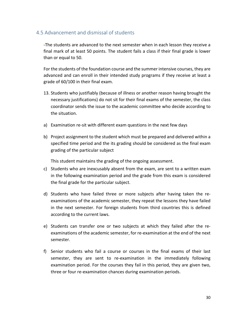### <span id="page-29-0"></span>4.5 Advancement and dismissal of students

-The students are advanced to the next semester when in each lesson they receive a final mark of at least 50 points. The student fails a class if their final grade is lower than or equal to 50.

For the students of the foundation course and the summer intensive courses, they are advanced and can enroll in their intended study programs if they receive at least a grade of 60/100 in their final exam.

- 13. Students who justifiably (because of illness or another reason having brought the necessary justifications) do not sit for their final exams of the semester, the class coordinator sends the issue to the academic committee who decide according to the situation.
- a) Examination re-sit with different exam questions in the next few days
- b) Project assignment to the student which must be prepared and delivered within a specified time period and the its grading should be considered as the final exam grading of the particular subject

This student maintains the grading of the ongoing assessment.

- c) Students who are inexcusably absent from the exam, are sent to a written exam in the following examination period and the grade from this exam is considered the final grade for the particular subject.
- d) Students who have failed three or more subjects after having taken the reexaminations of the academic semester, they repeat the lessons they have failed in the next semester. For foreign students from third countries this is defined according to the current laws.
- e) Students can transfer one or two subjects at which they failed after the reexaminations of the academic semester, for re-examination at the end of the next semester.
- f) Senior students who fail a course or courses in the final exams of their last semester, they are sent to re-examination in the immediately following examination period. For the courses they fail in this period, they are given two, three or four re-examination chances during examination periods.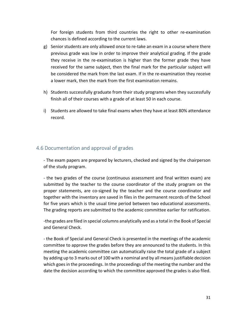For foreign students from third countries the right to other re-examination chances is defined according to the current laws.

- g) Senior students are only allowed once to re-take an exam in a course where there previous grade was low in order to improve their analytical grading. If the grade they receive in the re-examination is higher than the former grade they have received for the same subject, then the final mark for the particular subject will be considered the mark from the last exam. If in the re-examination they receive a lower mark, then the mark from the first examination remains.
- h) Students successfully graduate from their study programs when they successfully finish all of their courses with a grade of at least 50 in each course.
- i) Students are allowed to take final exams when they have at least 80% attendance record.

### <span id="page-30-0"></span>4.6 Documentation and approval of grades

- The exam papers are prepared by lecturers, checked and signed by the chairperson of the study program.

- the two grades of the course (continuous assessment and final written exam) are submitted by the teacher to the course coordinator of the study program on the proper statements, are co-signed by the teacher and the course coordinator and together with the inventory are saved in files in the permanent records of the School for five years which is the usual time period between two educational assessments. The grading reports are submitted to the academic committee earlier for ratification.

-the grades are filed in special columns analytically and as a total in the Book of Special and General Check.

- the Book of Special and General Check is presented in the meetings of the academic committee to approve the grades before they are announced to the students. In this meeting the academic committee can automatically raise the total grade of a subject by adding up to 3 marks out of 100 with a nominal and by all means justifiable decision which goes in the proceedings. In the proceedings of the meeting the number and the date the decision according to which the committee approved the grades is also filed.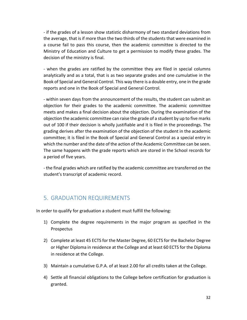- if the grades of a lesson show statistic disharmony of two standard deviations from the average, that is if more than the two thirds of the students that were examined in a course fail to pass this course, then the academic committee is directed to the Ministry of Education and Culture to get a permission to modify these grades. The decision of the ministry is final.

- when the grades are ratified by the committee they are filed in special columns analytically and as a total, that is as two separate grades and one cumulative in the Book of Special and General Control. This way there is a double entry, one in the grade reports and one in the Book of Special and General Control.

- within seven days from the announcement of the results, the student can submit an objection for their grades to the academic committee. The academic committee meets and makes a final decision about the objection. During the examination of the objection the academic committee can raise the grade of a student by up to five marks out of 100 if their decision is wholly justifiable and it is filed in the proceedings. The grading derives after the examination of the objection of the student in the academic committee; it is filed in the Book of Special and General Control as a special entry in which the number and the date of the action of the Academic Committee can be seen. The same happens with the grade reports which are stored in the School records for a period of five years.

- the final grades which are ratified by the academic committee are transferred on the student's transcript of academic record.

# <span id="page-31-0"></span>5. GRADUATION REQUIREMENTS

In order to qualify for graduation a student must fulfill the following:

- 1) Complete the degree requirements in the major program as specified in the Prospectus
- 2) Complete at least 45 ECTS for the Master Degree, 60 ECTS for the Bachelor Degree or Higher Diploma in residence at the College and at least 60 ECTS for the Diploma in residence at the College.
- 3) Maintain a cumulative G.P.A. of at least 2.00 for all credits taken at the College.
- 4) Settle all financial obligations to the College before certification for graduation is granted.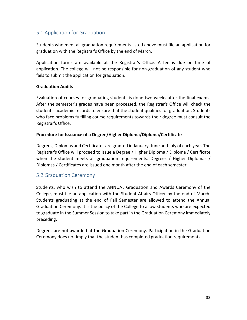### <span id="page-32-0"></span>5.1 Application for Graduation

Students who meet all graduation requirements listed above must file an application for graduation with the Registrar's Office by the end of March.

Application forms are available at the Registrar's Office. A fee is due on time of application. The college will not be responsible for non-graduation of any student who fails to submit the application for graduation.

#### **Graduation Audits**

Evaluation of courses for graduating students is done two weeks after the final exams. After the semester's grades have been processed, the Registrar's Office will check the student's academic records to ensure that the student qualifies for graduation. Students who face problems fulfilling course requirements towards their degree must consult the Registrar's Office.

#### **Procedure for Issuance of a Degree/Higher Diploma/Diploma/Certificate**

Degrees, Diplomas and Certificates are granted in January, June and July of each year. The Registrar's Office will proceed to issue a Degree / Higher Diploma / Diploma / Certificate when the student meets all graduation requirements. Degrees / Higher Diplomas / Diplomas / Certificates are issued one month after the end of each semester.

### <span id="page-32-1"></span>5.2 Graduation Ceremony

Students, who wish to attend the ANNUAL Graduation and Awards Ceremony of the College, must file an application with the Student Affairs Officer by the end of March. Students graduating at the end of Fall Semester are allowed to attend the Annual Graduation Ceremony. It is the policy of the College to allow students who are expected to graduate in the Summer Session to take part in the Graduation Ceremony immediately preceding.

<span id="page-32-2"></span>Degrees are not awarded at the Graduation Ceremony. Participation in the Graduation Ceremony does not imply that the student has completed graduation requirements.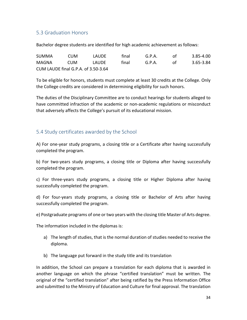### 5.3 Graduation Honors

Bachelor degree students are identified for high academic achievement as follows:

| <b>SUMMA</b>                        | CUM. | <b>LAUDF</b> | final | G.P.A. | nt. | $3.85 - 4.00$ |
|-------------------------------------|------|--------------|-------|--------|-----|---------------|
| MAGNA                               | CUM. | LAUDF        | final | G.P.A. | ΩŤ  | 3.65-3.84     |
| CUM LAUDE final G.P.A. of 3.50-3.64 |      |              |       |        |     |               |

To be eligible for honors, students must complete at least 30 credits at the College. Only the College credits are considered in determining eligibility for such honors.

The duties of the Disciplinary Committee are to conduct hearings for students alleged to have committed infraction of the academic or non-academic regulations or misconduct that adversely affects the College's pursuit of its educational mission.

### <span id="page-33-0"></span>5.4 Study certificates awarded by the School

A) For one-year study programs, a closing title or a Certificate after having successfully completed the program.

b) For two-years study programs, a closing title or Diploma after having successfully completed the program.

c) For three-years study programs, a closing title or Higher Diploma after having successfully completed the program.

d) For four-years study programs, a closing title or Bachelor of Arts after having successfully completed the program.

e) Postgraduate programs of one or two years with the closing title Master of Arts degree.

The information included in the diplomas is:

- a) The length of studies, that is the normal duration of studies needed to receive the diploma.
- b) The language put forward in the study title and its translation

In addition, the School can prepare a translation for each diploma that is awarded in another language on which the phrase "certified translation" must be written. The original of the "certified translation" after being ratified by the Press Information Office and submitted to the Ministry of Education and Culture for final approval. The translation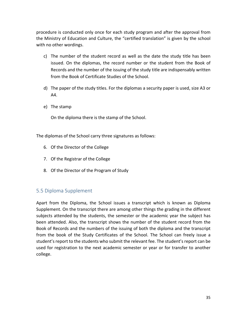procedure is conducted only once for each study program and after the approval from the Ministry of Education and Culture, the "certified translation" is given by the school with no other wordings.

- c) The number of the student record as well as the date the study title has been issued. On the diplomas, the record number or the student from the Book of Records and the number of the issuing of the study title are indispensably written from the Book of Certificate Studies of the School.
- d) The paper of the study titles. For the diplomas a security paper is used, size A3 or A4.
- e) The stamp

On the diploma there is the stamp of the School.

The diplomas of the School carry three signatures as follows:

- 6. Of the Director of the College
- 7. Of the Registrar of the College
- 8. Of the Director of the Program of Study

### <span id="page-34-0"></span>5.5 Diploma Supplement

Apart from the Diploma, the School issues a transcript which is known as Diploma Supplement. On the transcript there are among other things the grading in the different subjects attended by the students, the semester or the academic year the subject has been attended. Also, the transcript shows the number of the student record from the Book of Records and the numbers of the issuing of both the diploma and the transcript from the book of the Study Certificates of the School. The School can freely issue a student's report to the students who submit the relevant fee. The student's report can be used for registration to the next academic semester or year or for transfer to another college.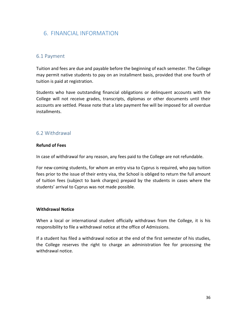# <span id="page-35-0"></span>6. FINANCIAL INFORMATION

### <span id="page-35-1"></span>6.1 Payment

Tuition and fees are due and payable before the beginning of each semester. The College may permit native students to pay on an installment basis, provided that one fourth of tuition is paid at registration.

Students who have outstanding financial obligations or delinquent accounts with the College will not receive grades, transcripts, diplomas or other documents until their accounts are settled. Please note that a late payment fee will be imposed for all overdue installments.

### <span id="page-35-2"></span>6.2 Withdrawal

#### **Refund of Fees**

In case of withdrawal for any reason, any fees paid to the College are not refundable.

For new-coming students, for whom an entry visa to Cyprus is required, who pay tuition fees prior to the issue of their entry visa, the School is obliged to return the full amount of tuition fees (subject to bank charges) prepaid by the students in cases where the students' arrival to Cyprus was not made possible.

#### **Withdrawal Notice**

When a local or international student officially withdraws from the College, it is his responsibility to file a withdrawal notice at the office of Admissions.

If a student has filed a withdrawal notice at the end of the first semester of his studies, the College reserves the right to charge an administration fee for processing the withdrawal notice.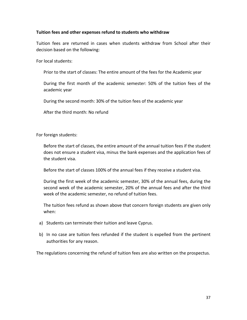#### **Tuition fees and other expenses refund to students who withdraw**

Tuition fees are returned in cases when students withdraw from School after their decision based on the following:

For local students:

Prior to the start of classes: The entire amount of the fees for the Academic year

During the first month of the academic semester: 50% of the tuition fees of the academic year

During the second month: 30% of the tuition fees of the academic year

After the third month: No refund

For foreign students:

Before the start of classes, the entire amount of the annual tuition fees if the student does not ensure a student visa, minus the bank expenses and the application fees of the student visa.

Before the start of classes 100% of the annual fees if they receive a student visa.

During the first week of the academic semester, 30% of the annual fees, during the second week of the academic semester, 20% of the annual fees and after the third week of the academic semester, no refund of tuition fees.

The tuition fees refund as shown above that concern foreign students are given only when:

- a) Students can terminate their tuition and leave Cyprus.
- b) In no case are tuition fees refunded if the student is expelled from the pertinent authorities for any reason.

The regulations concerning the refund of tuition fees are also written on the prospectus.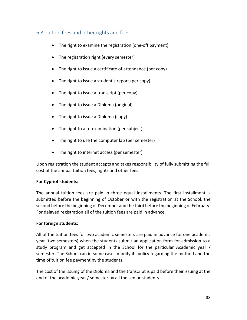# 6.3 Tuition fees and other rights and fees

- The right to examine the registration (one-off payment)
- The registration right (every semester)
- The right to issue a certificate of attendance (per copy)
- The right to issue a student's report (per copy)
- The right to issue a transcript (per copy)
- The right to issue a Diploma (original)
- The right to issue a Diploma (copy)
- The right to a re-examination (per subject)
- The right to use the computer lab (per semester)
- The right to internet access (per semester)

Upon registration the student accepts and takes responsibility of fully submitting the full cost of the annual tuition fees, rights and other fees.

### **For Cypriot students:**

The annual tuition fees are paid in three equal installments. The first installment is submitted before the beginning of October or with the registration at the School, the second before the beginning of December and the third before the beginning of February. For delayed registration all of the tuition fees are paid in advance.

## **For foreign students:**

All of the tuition fees for two academic semesters are paid in advance for one academic year (two semesters) when the students submit an application form for admission to a study program and get accepted in the School for the particular Academic year / semester. The School can in some cases modify its policy regarding the method and the time of tuition fee payment by the students.

The cost of the issuing of the Diploma and the transcript is paid before their issuing at the end of the academic year / semester by all the senior students.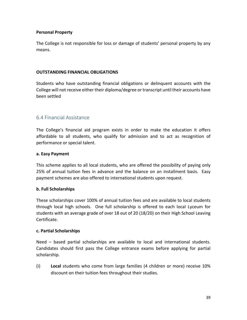### **Personal Property**

The College is not responsible for loss or damage of students' personal property by any means.

#### **OUTSTANDING FINANCIAL OBLIGATIONS**

Students who have outstanding financial obligations or delinquent accounts with the College will not receive either their diploma/degree or transcript until their accounts have been settled

## 6.4 Financial Assistance

The College's financial aid program exists in order to make the education it offers affordable to all students, who qualify for admission and to act as recognition of performance or special talent.

#### **a. Easy Payment**

This scheme applies to all local students, who are offered the possibility of paying only 25% of annual tuition fees in advance and the balance on an installment basis. Easy payment schemes are also offered to international students upon request.

#### **b. Full Scholarships**

These scholarships cover 100% of annual tuition fees and are available to local students through local high schools. One full scholarship is offered to each local Lyceum for students with an average grade of over 18 out of 20 (18/20) on their High School Leaving Certificate.

#### **c. Partial Scholarships**

Need – based partial scholarships are available to local and international students. Candidates should first pass the College entrance exams before applying for partial scholarship.

(i) **Local** students who come from large families (4 children or more) receive 10% discount on their tuition fees throughout their studies.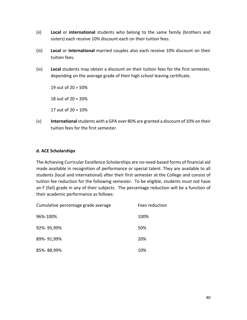- (ii) **Local** or **international** students who belong to the same family (brothers and sisters) each receive 10% discount each on their tuition fees.
- (iii) **Local** or **international** married couples also each receive 10% discount on their tuition fees.
- (iv) **Local** students may obtain a discount on their tuition fees for the first semester, depending on the average grade of their high school leaving certificate.

19 out of  $20 = 50\%$ 

18 out of 20 = 20%

17 out of 20 = 10%

(v) **International** students with a GPA over 80% are granted a discount of 10% on their tuition fees for the first semester.

### **d. ACE Scholarships**

The Achieving Curricular Excellence Scholarships are no-need-based forms of financial aid made available in recognition of performance or special talent. They are available to all students (local and international) after their first semester at the College and consist of tuition fee reduction for the following semester. To be eligible, students must not have an F (fail) grade in any of their subjects. The percentage reduction will be a function of their academic performance as follows:

| Cumulative percentage grade average | Fees reduction |
|-------------------------------------|----------------|
| 96%-100%                            | 100%           |
| 92%-95,99%                          | 50%            |
| 89%-91,99%                          | 20%            |
| 85%-88,99%                          | 10%            |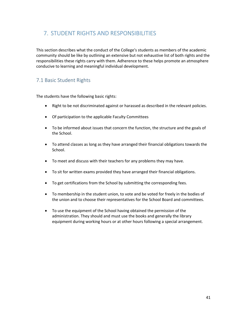# 7. STUDENT RIGHTS AND RESPONSIBILITIES

This section describes what the conduct of the College's students as members of the academic community should be like by outlining an extensive but not exhaustive list of both rights and the responsibilities these rights carry with them. Adherence to these helps promote an atmosphere conducive to learning and meaningful individual development.

## 7.1 Basic Student Rights

The students have the following basic rights:

- Right to be not discriminated against or harassed as described in the relevant policies.
- Of participation to the applicable Faculty Committees
- To be informed about issues that concern the function, the structure and the goals of the School.
- To attend classes as long as they have arranged their financial obligations towards the School.
- To meet and discuss with their teachers for any problems they may have.
- To sit for written exams provided they have arranged their financial obligations.
- To get certifications from the School by submitting the corresponding fees.
- To membership in the student union, to vote and be voted for freely in the bodies of the union and to choose their representatives for the School Board and committees.
- To use the equipment of the School having obtained the permission of the administration. They should and must use the books and generally the library equipment during working hours or at other hours following a special arrangement.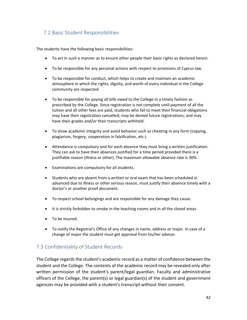## 7.2 Basic Student Responsibilities

The students have the following basic responsibilities:

- To act in such a manner as to ensure other people their basic rights as declared herein.
- To be responsible for any personal actions with respect to provisions of Cyprus law.
- To be responsible for conduct, which helps to create and maintain an academic atmosphere in which the rights, dignity, and worth of every individual in the College community are respected.
- To be responsible for paying all bills owed to the College in a timely fashion as prescribed by the College. Since registration is not complete until payment of all the tuition and all other fees are paid, students who fail to meet their financial obligations may have their registration cancelled; may be denied future registrations; and may have their grades and/or their transcripts withheld.
- To show academic integrity and avoid behavior such as cheating in any form (copying, plagiarism, forgery, cooperation in falsification, etc.)
- Attendance is compulsory and for each absence they must bring a written justification. They can ask to have their absences justified for a time period provided there is a justifiable reason (illness or other). The maximum allowable absence rate is 30%.
- Examinations are compulsory for all students.
- Students who are absent from a written or oral exam that has been scheduled in advanced due to illness or other serious reason, must justify their absence timely with a doctor's or another proof document.
- To respect school belongings and are responsible for any damage they cause.
- It is strictly forbidden to smoke in the teaching rooms and in all the closed areas.
- To be insured.
- To notify the Registrar's Office of any changes in name, address or major. In case of a change of major the student must get approval from his/her advisor.

## 7.3 Confidentiality of Student Records

The College regards the student's academic record as a matter of confidence between the student and the College. The contents of the academic record may be revealed only after written permission of the student's parent/legal guardian. Faculty and administrative officers of the College, the parent(s) or legal guardian(s) of the student and government agencies may be provided with a student's transcript without their consent.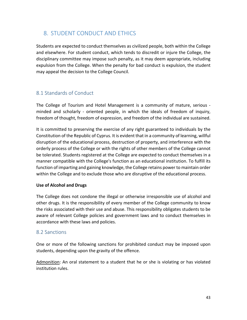# 8. STUDENT CONDUCT AND ETHICS

Students are expected to conduct themselves as civilized people, both within the College and elsewhere. For student conduct, which tends to discredit or injure the College, the disciplinary committee may impose such penalty, as it may deem appropriate, including expulsion from the College. When the penalty for bad conduct is expulsion, the student may appeal the decision to the College Council.

## 8.1 Standards of Conduct

The College of Tourism and Hotel Management is a community of mature, serious minded and scholarly - oriented people, in which the ideals of freedom of inquiry, freedom of thought, freedom of expression, and freedom of the individual are sustained.

It is committed to preserving the exercise of any right guaranteed to individuals by the Constitution of the Republic of Cyprus. It is evident that in a community of learning, willful disruption of the educational process, destruction of property, and interference with the orderly process of the College or with the rights of other members of the College cannot be tolerated. Students registered at the College are expected to conduct themselves in a manner compatible with the College's function as an educational institution. To fulfill its function of imparting and gaining knowledge, the College retains power to maintain order within the College and to exclude those who are disruptive of the educational process.

### **Use of Alcohol and Drugs**

The College does not condone the illegal or otherwise irresponsible use of alcohol and other drugs. It is the responsibility of every member of the College community to know the risks associated with their use and abuse. This responsibility obligates students to be aware of relevant College policies and government laws and to conduct themselves in accordance with these laws and policies.

### 8.2 Sanctions

One or more of the following sanctions for prohibited conduct may be imposed upon students, depending upon the gravity of the offence.

Admonition: An oral statement to a student that he or she is violating or has violated institution rules.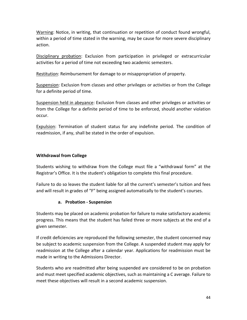Warning: Notice, in writing, that continuation or repetition of conduct found wrongful, within a period of time stated in the warning, may be cause for more severe disciplinary action.

Disciplinary probation: Exclusion from participation in privileged or extracurricular activities for a period of time not exceeding two academic semesters.

Restitution: Reimbursement for damage to or misappropriation of property.

Suspension: Exclusion from classes and other privileges or activities or from the College for a definite period of time.

Suspension held in abeyance: Exclusion from classes and other privileges or activities or from the College for a definite period of time to be enforced, should another violation occur.

Expulsion: Termination of student status for any indefinite period. The condition of readmission, if any, shall be stated in the order of expulsion.

### **Withdrawal from College**

Students wishing to withdraw from the College must file a "withdrawal form" at the Registrar's Office. It is the student's obligation to complete this final procedure.

Failure to do so leaves the student liable for all the current's semester's tuition and fees and will result in grades of "F" being assigned automatically to the student's courses.

### **a. Probation - Suspension**

Students may be placed on academic probation for failure to make satisfactory academic progress. This means that the student has failed three or more subjects at the end of a given semester.

If credit deficiencies are reproduced the following semester, the student concerned may be subject to academic suspension from the College. A suspended student may apply for readmission at the College after a calendar year. Applications for readmission must be made in writing to the Admissions Director.

Students who are readmitted after being suspended are considered to be on probation and must meet specified academic objectives, such as maintaining a C average. Failure to meet these objectives will result in a second academic suspension.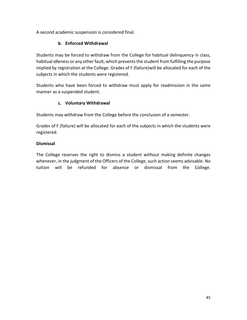A second academic suspension is considered final.

## **b. Enforced Withdrawal**

Students may be forced to withdraw from the College for habitual delinquency in class, habitual idleness or any other fault, which prevents the student from fulfilling the purpose implied by registration at the College. Grades of F (failure)will be allocated for each of the subjects in which the students were registered.

Students who have been forced to withdraw must apply for readmission in the same manner as a suspended student.

### **c. Voluntary Withdrawal**

Students may withdraw from the College before the conclusion of a semester.

Grades of F (failure) will be allocated for each of the subjects in which the students were registered.

### **Dismissal**

The College reserves the right to dismiss a student without making definite changes whenever, in the judgment of the Officers of the College, such action seems advisable. No tuition will be refunded for absence or dismissal from the College.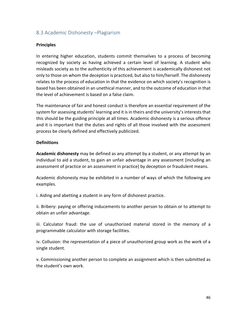## 8.3 Academic Dishonesty –Plagiarism

#### **Principles**

In entering higher education, students commit themselves to a process of becoming recognized by society as having achieved a certain level of learning. A student who misleads society as to the authenticity of this achievement is academically dishonest not only to those on whom the deception is practiced, but also to him/herself. The dishonesty relates to the process of education in that the evidence on which society's recognition is based has been obtained in an unethical manner, and to the outcome of education in that the level of achievement is based on a false claim.

The maintenance of fair and honest conduct is therefore an essential requirement of the system for assessing students' learning and it is in theirs and the university's interests that this should be the guiding principle at all times. Academic dishonesty is a serious offence and it is important that the duties and rights of all those involved with the assessment process be clearly defined and effectively publicized.

#### **Definitions**

**Academic dishonesty** may be defined as any attempt by a student, or any attempt by an individual to aid a student, to gain an unfair advantage in any assessment (including an assessment of practice or an assessment in practice) by deception or fraudulent means.

Academic dishonesty may be exhibited in a number of ways of which the following are examples.

i. Aiding and abetting a student in any form of dishonest practice.

ii. Bribery: paying or offering inducements to another person to obtain or to attempt to obtain an unfair advantage.

iii. Calculator fraud: the use of unauthorized material stored in the memory of a programmable calculator with storage facilities.

iv. Collusion: the representation of a piece of unauthorized group work as the work of a single student.

v. Commissioning another person to complete an assignment which is then submitted as the student's own work.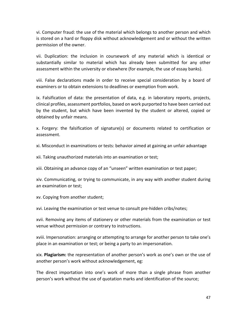vi. Computer fraud: the use of the material which belongs to another person and which is stored on a hard or floppy disk without acknowledgement and or without the written permission of the owner.

vii. Duplication: the inclusion in coursework of any material which is identical or substantially similar to material which has already been submitted for any other assessment within the university or elsewhere (for example, the use of essay banks).

viii. False declarations made in order to receive special consideration by a board of examiners or to obtain extensions to deadlines or exemption from work.

ix. Falsification of data: the presentation of data, e.g. in laboratory reports, projects, clinical profiles, assessment portfolios, based on work purported to have been carried out by the student, but which have been invented by the student or altered, copied or obtained by unfair means.

x. Forgery: the falsification of signature(s) or documents related to certification or assessment.

xi. Misconduct in examinations or tests: behavior aimed at gaining an unfair advantage

xii. Taking unauthorized materials into an examination or test;

xiii. Obtaining an advance copy of an "unseen" written examination or test paper;

xiv. Communicating, or trying to communicate, in any way with another student during an examination or test;

xv. Copying from another student;

xvi. Leaving the examination or test venue to consult pre-hidden cribs/notes;

xvii. Removing any items of stationery or other materials from the examination or test venue without permission or contrary to instructions.

xviii. Impersonation: arranging or attempting to arrange for another person to take one's place in an examination or test; or being a party to an impersonation.

xix. **Plagiarism:** the representation of another person's work as one's own or the use of another person's work without acknowledgement, eg:

The direct importation into one's work of more than a single phrase from another person's work without the use of quotation marks and identification of the source;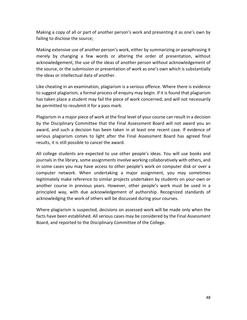Making a copy of all or part of another person's work and presenting it as one's own by failing to disclose the source;

Making extensive use of another person's work, either by summarizing or paraphrasing it merely by changing a few words or altering the order of presentation, without acknowledgement, the use of the ideas of another person without acknowledgement of the source, or the submission or presentation of work as one's own which is substantially the ideas or intellectual data of another.

Like cheating in an examination, plagiarism is a serious offence. Where there is evidence to suggest plagiarism, a formal process of enquiry may begin. If it is found that plagiarism has taken place a student may fail the piece of work concerned, and will not necessarily be permitted to resubmit it for a pass mark.

Plagiarism in a major piece of work at the final level of your course can result in a decision by the Disciplinary Committee that the Final Assessment Board will not award you an award, and such a decision has been taken in at least one recent case. If evidence of serious plagiarism comes to light after the Final Assessment Board has agreed final results, it is still possible to cancel the award.

All college students are expected to use other people's ideas. You will use books and journals in the library, some assignments involve working collaboratively with others, and in some cases you may have access to other people's work on computer disk or over a computer network. When undertaking a major assignment, you may sometimes legitimately make reference to similar projects undertaken by students on your own or another course in previous years. However, other people's work must be used in a principled way, with due acknowledgement of authorship. Recognized standards of acknowledging the work of others will be discussed during your courses.

Where plagiarism is suspected, decisions on assessed work will be made only when the facts have been established. All serious cases may be considered by the Final Assessment Board, and reported to the Disciplinary Committee of the College.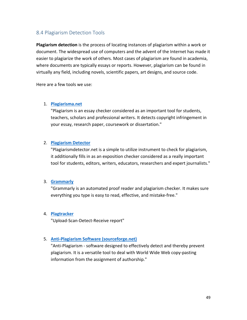## 8.4 Plagiarism Detection Tools

**Plagiarism detection** is the process of locating instances of plagiarism within a work or document. The widespread use of computers and the advent of the Internet has made it easier to plagiarize the work of others. Most cases of plagiarism are found in academia, where documents are typically essays or reports. However, plagiarism can be found in virtually any field, including novels, scientific papers, art designs, and source code.

Here are a few tools we use:

#### 1. **[Plagiarisma.net](http://plagiarisma.net/)**

"Plagiarism is an essay checker considered as an important tool for students, teachers, scholars and professional writers. It detects copyright infringement in your essay, research paper, coursework or dissertation."

#### 2. **[Plagiarism Detector](http://plagiarismdetector.net/)**

"Plagiarismdetector.net is a simple to utilize instrument to check for plagiarism, it additionally fills in as an exposition checker considered as a really important tool for students, editors, writers, educators, researchers and expert journalists."

#### 3. **[Grammarly](https://www.grammarly.com/plagiarism?q=plagiarism)**

"Grammarly is an automated proof reader and plagiarism checker. It makes sure everything you type is easy to read, effective, and mistake-free."

#### 4. **[Plagtracker](http://www.plagtracker.com/)**

"Upload-Scan-Detect-Receive report"

#### 5. **[Anti-Plagiarism Software \(sourceforge.net\)](https://sourceforge.net/projects/antiplagiarismc/)**

"Anti-Plagiarism - software designed to effectively detect and thereby prevent plagiarism. It is a versatile tool to deal with World Wide Web copy-pasting information from the assignment of authorship."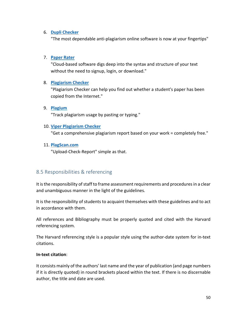#### 6. **[Dupli Checker](https://www.duplichecker.com/)**

"The most dependable anti-plagiarism online software is now at your fingertips"

#### 7. **[Paper Rater](https://www.paperrater.com/)**

"Cloud-based software digs deep into the syntax and structure of your text without the need to signup, login, or download."

#### 8. **[Plagiarism Checker](http://www.plagiarismchecker.com/help-teachers.php)**

"Plagiarism Checker can help you find out whether a student's paper has been copied from the Internet."

### 9. **[Plagium](https://www.plagium.com/)**

"Track plagiarism usage by pasting or typing."

#### 10. **[Viper Plagiarism Checker](http://www.scanmyessay.com/)**

"Get a comprehensive plagiarism report based on your work = completely free."

#### 11. **[PlagScan.com](https://www.plagscan.com/plagiarism-check/)**

"Upload-Check-Report" simple as that.

## 8.5 Responsibilities & referencing

It is the responsibility of staff to frame assessment requirements and procedures in a clear and unambiguous manner in the light of the guidelines.

It is the responsibility of students to acquaint themselves with these guidelines and to act in accordance with them.

All references and Bibliography must be properly quoted and cited with the Harvard referencing system.

The Harvard referencing style is a popular style using the author-date system for in-text citations.

#### **In-text citation**:

It consists mainly of the authors' last name and the year of publication (and page numbers if it is directly quoted) in round brackets placed within the text. If there is no discernable author, the title and date are used.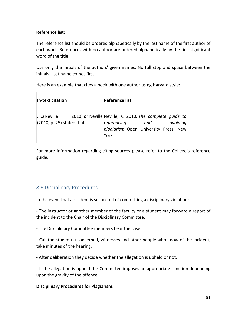#### **Reference list:**

The reference list should be ordered alphabetically by the last name of the first author of each work. References with no author are ordered alphabetically by the first significant word of the title.

Use only the initials of the authors' given names. No full stop and space between the initials. Last name comes first.

Here is an example that cites a book with one author using Harvard style:

| In-text citation                      | <b>Reference list</b>                                                                                                                                |
|---------------------------------------|------------------------------------------------------------------------------------------------------------------------------------------------------|
| (Neville<br>(2010, p. 25) stated that | 2010) or Neville Neville, C 2010, The complete quide to<br>referencing<br>avoiding<br>and<br><i>plagiarism</i> , Open University Press, New<br>York. |

For more information regarding citing sources please refer to the College's reference guide.

## 8.6 Disciplinary Procedures

In the event that a student is suspected of committing a disciplinary violation:

- The instructor or another member of the faculty or a student may forward a report of the incident to the Chair of the Disciplinary Committee.

- The Disciplinary Committee members hear the case.

- Call the student(s) concerned, witnesses and other people who know of the incident, take minutes of the hearing.

- After deliberation they decide whether the allegation is upheld or not.

- If the allegation is upheld the Committee imposes an appropriate sanction depending upon the gravity of the offence.

### **Disciplinary Procedures for Plagiarism:**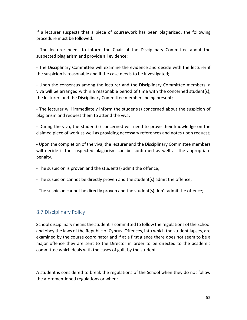If a lecturer suspects that a piece of coursework has been plagiarized, the following procedure must be followed:

- The lecturer needs to inform the Chair of the Disciplinary Committee about the suspected plagiarism and provide all evidence;

- The Disciplinary Committee will examine the evidence and decide with the lecturer if the suspicion is reasonable and if the case needs to be investigated;

- Upon the consensus among the lecturer and the Disciplinary Committee members, a viva will be arranged within a reasonable period of time with the concerned student(s), the lecturer, and the Disciplinary Committee members being present;

- The lecturer will immediately inform the student(s) concerned about the suspicion of plagiarism and request them to attend the viva;

- During the viva, the student(s) concerned will need to prove their knowledge on the claimed piece of work as well as providing necessary references and notes upon request;

- Upon the completion of the viva, the lecturer and the Disciplinary Committee members will decide if the suspected plagiarism can be confirmed as well as the appropriate penalty.

- The suspicion is proven and the student(s) admit the offence;

- The suspicion cannot be directly proven and the student(s) admit the offence;
- The suspicion cannot be directly proven and the student(s) don't admit the offence;

## 8.7 Disciplinary Policy

School disciplinary means the student is committed to follow the regulations of the School and obey the laws of the Republic of Cyprus. Offences, into which the student lapses, are examined by the course coordinator and if at a first glance there does not seem to be a major offence they are sent to the Director in order to be directed to the academic committee which deals with the cases of guilt by the student.

A student is considered to break the regulations of the School when they do not follow the aforementioned regulations or when: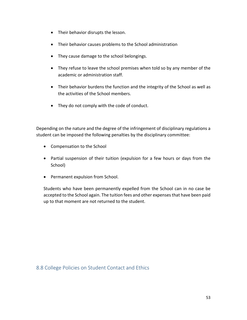- Their behavior disrupts the lesson.
- Their behavior causes problems to the School administration
- They cause damage to the school belongings.
- They refuse to leave the school premises when told so by any member of the academic or administration staff.
- Their behavior burdens the function and the integrity of the School as well as the activities of the School members.
- They do not comply with the code of conduct.

Depending on the nature and the degree of the infringement of disciplinary regulations a student can be imposed the following penalties by the disciplinary committee:

- Compensation to the School
- Partial suspension of their tuition (expulsion for a few hours or days from the School)
- Permanent expulsion from School.

Students who have been permanently expelled from the School can in no case be accepted to the School again. The tuition fees and other expenses that have been paid up to that moment are not returned to the student.

8.8 College Policies on Student Contact and Ethics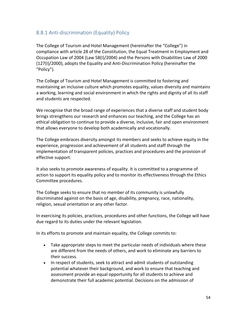## 8.8.1 Anti-discrimination (Equality) Policy

The College of Tourism and Hotel Management (hereinafter the "College") in compliance with article 28 of the Constitution, the Equal Treatment in Employment and Occupation Law of 2004 (Law 58(I)/2004) and the Persons with Disabilities Law of 2000 (127(I)/2000), adopts the Equality and Anti-Discrimination Policy (hereinafter the "Policy").

The College of Tourism and Hotel Management is committed to fostering and maintaining an inclusive culture which promotes equality, values diversity and maintains a working, learning and social environment in which the rights and dignity of all its staff and students are respected.

We recognise that the broad range of experiences that a diverse staff and student body brings strengthens our research and enhances our teaching, and the College has an ethical obligation to continue to provide a diverse, inclusive, fair and open environment that allows everyone to develop both academically and vocationally.

The College embraces diversity amongst its members and seeks to achieve equity in the experience, progression and achievement of all students and staff through the implementation of transparent policies, practices and procedures and the provision of effective support.

It also seeks to promote awareness of equality. It is committed to a programme of action to support its equality policy and to monitor its effectiveness through the Ethics Committee procedures.

The College seeks to ensure that no member of its community is unlawfully discriminated against on the basis of age, disability, pregnancy, race, nationality, religion, sexual orientation or any other factor.

In exercising its policies, practices, procedures and other functions, the College will have due regard to its duties under the relevant legislation.

In its efforts to promote and maintain equality, the College commits to:

- Take appropriate steps to meet the particular needs of individuals where these are different from the needs of others, and work to eliminate any barriers to their success.
- In respect of students, seek to attract and admit students of outstanding potential whatever their background, and work to ensure that teaching and assessment provide an equal opportunity for all students to achieve and demonstrate their full academic potential. Decisions on the admission of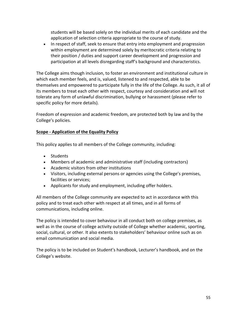students will be based solely on the individual merits of each candidate and the application of selection criteria appropriate to the course of study.

• In respect of staff, seek to ensure that entry into employment and progression within employment are determined solely by meritocratic criteria relating to their position / duties and support career development and progression and participation at all levels disregarding staff's background and characteristics.

The College aims though inclusion, to foster an environment and institutional culture in which each member feels, and is, valued, listened to and respected, able to be themselves and empowered to participate fully in the life of the College. As such, it all of its members to treat each other with respect, courtesy and consideration and will not tolerate any form of unlawful discrimination, bullying or harassment (please refer to specific policy for more details).

Freedom of expression and academic freedom, are protected both by law and by the College's policies.

### **Scope - [Application of the Equality Policy](https://edu.admin.ox.ac.uk/equality-policy#collapse1138396)**

This policy applies to all members of the College community, including:

- Students
- Members of academic and administrative staff (including contractors)
- Academic visitors from other institutions
- Visitors, including external persons or agencies using the College's premises, facilities or services;
- Applicants for study and employment, including offer holders.

All members of the College community are expected to act in accordance with this policy and to treat each other with respect at all times, and in all forms of communications, including online.

The policy is intended to cover behaviour in all conduct both on college premises, as well as in the course of college activity outside of College whether academic, sporting, social, cultural, or other. It also extents to stakeholders' behaviour online such as on email communication and social media.

The policy is to be included on Student's handbook, Lecturer's handbook, and on the College's website.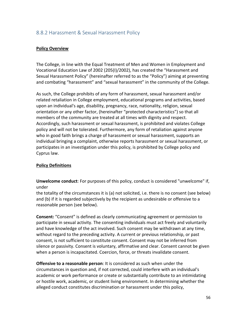## 8.8.2 Harassment & Sexual Harassment Policy

#### **Policy Overview**

The College, in line with the Equal Treatment of Men and Women in Employment and Vocational Education Law of 2002 (205(I)/2002), has created the "Harassment and Sexual Harassment Policy" (hereinafter referred to as the "Policy") aiming at preventing and combating "harassment" and "sexual harassment" in the community of the College.

As such, the College prohibits of any form of harassment, sexual harassment and/or related retaliation in College employment, educational programs and activities, based upon an individual's age, disability, pregnancy, race, nationality, religion, sexual orientation or any other factor, (hereinafter "protected characteristics") so that all members of the community are treated at all times with dignity and respect. Accordingly, such harassment or sexual harassment, is prohibited and violates College policy and will not be tolerated. Furthermore, any form of retaliation against anyone who in good faith brings a charge of harassment or sexual harassment, supports an individual bringing a complaint, otherwise reports harassment or sexual harassment, or participates in an investigation under this policy, is prohibited by College policy and Cyprus law.

#### **Policy Definitions**

**Unwelcome conduct**: For purposes of this policy, conduct is considered "unwelcome" if, under

the totality of the circumstances it is (a) not solicited, i.e. there is no consent (see below) and (b) if it is regarded subjectively by the recipient as undesirable or offensive to a reasonable person (see below).

**Consent:** "Consent" is defined as clearly communicating agreement or permission to participate in sexual activity. The consenting individuals must act freely and voluntarily and have knowledge of the act involved. Such consent may be withdrawn at any time, without regard to the preceding activity. A current or previous relationship, or past consent, is not sufficient to constitute consent. Consent may not be inferred from silence or passivity. Consent is voluntary, affirmative and clear. Consent cannot be given when a person is incapacitated. Coercion, force, or threats invalidate consent.

**Offensive to a reasonable person**: It is considered as such when under the circumstances in question and, if not corrected, could interfere with an individual's academic or work performance or create or substantially contribute to an intimidating or hostile work, academic, or student living environment. In determining whether the alleged conduct constitutes discrimination or harassment under this policy,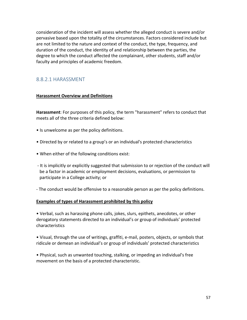consideration of the incident will assess whether the alleged conduct is severe and/or pervasive based upon the totality of the circumstances. Factors considered include but are not limited to the nature and context of the conduct, the type, frequency, and duration of the conduct, the identity of and relationship between the parties, the degree to which the conduct affected the complainant, other students, staff and/or faculty and principles of academic freedom.

### 8.8.2.1 HARASSMENT

#### **Harassment Overview and Definitions**

**Harassment**: For purposes of this policy, the term "harassment" refers to conduct that meets all of the three criteria defined below:

- Is unwelcome as per the policy definitions.
- Directed by or related to a group's or an individual's protected characteristics
- When either of the following conditions exist:
- It is implicitly or explicitly suggested that submission to or rejection of the conduct will be a factor in academic or employment decisions, evaluations, or permission to participate in a College activity; or

- The conduct would be offensive to a reasonable person as per the policy definitions.

#### **Examples of types of Harassment prohibited by this policy**

• Verbal, such as harassing phone calls, jokes, slurs, epithets, anecdotes, or other derogatory statements directed to an individual's or group of individuals' protected characteristics

• Visual, through the use of writings, graffiti, e-mail, posters, objects, or symbols that ridicule or demean an individual's or group of individuals' protected characteristics

• Physical, such as unwanted touching, stalking, or impeding an individual's free movement on the basis of a protected characteristic.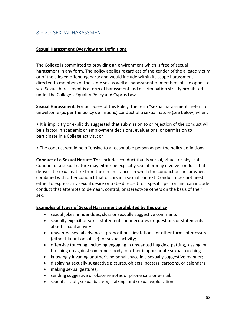## 8.8.2.2 SEXUAL HARASSMENT

#### **Sexual Harassment Overview and Definitions**

The College is committed to providing an environment which is free of sexual harassment in any form. The policy applies regardless of the gender of the alleged victim or of the alleged offending party and would include within its scope harassment directed to members of the same sex as well as harassment of members of the opposite sex. Sexual harassment is a form of harassment and discrimination strictly prohibited under the College's Equality Policy and Cyprus Law.

**Sexual Harassment**: For purposes of this Policy, the term "sexual harassment" refers to unwelcome (as per the policy definitions) conduct of a sexual nature (see below) when:

• It is implicitly or explicitly suggested that submission to or rejection of the conduct will be a factor in academic or employment decisions, evaluations, or permission to participate in a College activity; or

• The conduct would be offensive to a reasonable person as per the policy definitions.

**Conduct of a Sexual Nature**: This includes conduct that is verbal, visual, or physical. Conduct of a sexual nature may either be explicitly sexual or may involve conduct that derives its sexual nature from the circumstances in which the conduct occurs or when combined with other conduct that occurs in a sexual context. Conduct does not need either to express any sexual desire or to be directed to a specific person and can include conduct that attempts to demean, control, or stereotype others on the basis of their sex.

#### **Examples of types of Sexual Harassment prohibited by this policy**

- sexual jokes, innuendoes, slurs or sexually suggestive comments
- sexually explicit or sexist statements or anecdotes or questions or statements about sexual activity
- unwanted sexual advances, propositions, invitations, or other forms of pressure (either blatant or subtle) for sexual activity;
- offensive touching, including engaging in unwanted hugging, patting, kissing, or brushing up against someone's body, or other inappropriate sexual touching
- knowingly invading another's personal space in a sexually suggestive manner;
- displaying sexually suggestive pictures, objects, posters, cartoons, or calendars
- making sexual gestures;
- sending suggestive or obscene notes or phone calls or e-mail.
- sexual assault, sexual battery, stalking, and sexual exploitation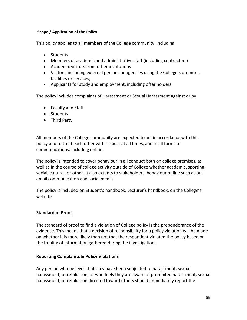#### **Scope / Application of the Policy**

This policy applies to all members of the College community, including:

- Students
- Members of academic and administrative staff (including contractors)
- Academic visitors from other institutions
- Visitors, including external persons or agencies using the College's premises, facilities or services;
- Applicants for study and employment, including offer holders.

The policy includes complaints of Harassment or Sexual Harassment against or by

- Faculty and Staff
- Students
- Third Party

All members of the College community are expected to act in accordance with this policy and to treat each other with respect at all times, and in all forms of communications, including online.

The policy is intended to cover behaviour in all conduct both on college premises, as well as in the course of college activity outside of College whether academic, sporting, social, cultural, or other. It also extents to stakeholders' behaviour online such as on email communication and social media.

The policy is included on Student's handbook, Lecturer's handbook, on the College's website.

## **Standard of Proof**

The standard of proof to find a violation of College policy is the preponderance of the evidence. This means that a decision of responsibility for a policy violation will be made on whether it is more likely than not that the respondent violated the policy based on the totality of information gathered during the investigation.

### **Reporting Complaints & Policy Violations**

Any person who believes that they have been subjected to harassment, sexual harassment, or retaliation, or who feels they are aware of prohibited harassment, sexual harassment, or retaliation directed toward others should immediately report the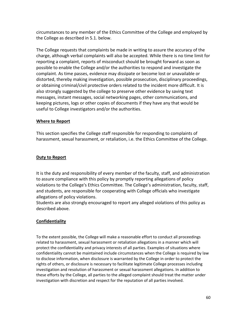circumstances to any member of the Ethics Committee of the College and employed by the College as described in 5.1. below.

The College requests that complaints be made in writing to assure the accuracy of the charge, although verbal complaints will also be accepted. While there is no time limit for reporting a complaint, reports of misconduct should be brought forward as soon as possible to enable the College and/or the authorities to respond and investigate the complaint. As time passes, evidence may dissipate or become lost or unavailable or distorted, thereby making investigation, possible prosecution, disciplinary proceedings, or obtaining criminal/civil protective orders related to the incident more difficult. It is also strongly suggested by the college to preserve other evidence by saving text messages, instant messages, social networking pages, other communications, and keeping pictures, logs or other copies of documents if they have any that would be useful to College investigators and/or the authorities.

### **Where to Report**

This section specifies the College staff responsible for responding to complaints of harassment, sexual harassment, or retaliation, i.e. the Ethics Committee of the College.

### **Duty to Report**

It is the duty and responsibility of every member of the faculty, staff, and administration to assure compliance with this policy by promptly reporting allegations of policy violations to the College's Ethics Committee. The College's administration, faculty, staff, and students, are responsible for cooperating with College officials who investigate allegations of policy violations.

Students are also strongly encouraged to report any alleged violations of this policy as described above.

## **Confidentiality**

To the extent possible, the College will make a reasonable effort to conduct all proceedings related to harassment, sexual harassment or retaliation allegations in a manner which will protect the confidentiality and privacy interests of all parties. Examples of situations where confidentiality cannot be maintained include circumstances when the College is required by law to disclose information, when disclosure is warranted by the College in order to protect the rights of others, or disclosure is necessary to facilitate legitimate College processes including investigation and resolution of harassment or sexual harassment allegations. In addition to these efforts by the College, all parties to the alleged complaint should treat the matter under investigation with discretion and respect for the reputation of all parties involved.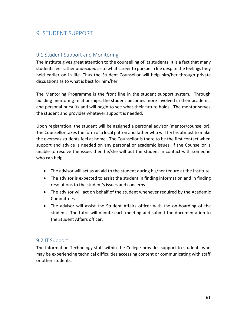# 9. STUDENT SUPPORT

## 9.1 Student Support and Monitoring

The Institute gives great attention to the counselling of its students. It is a fact that many students feel rather undecided as to what career to pursue in life despite the feelings they held earlier on in life. Thus the Student Counsellor will help him/her through private discussions as to what is best for him/her.

The Mentoring Programme is the front line in the student support system. Through building mentoring relationships, the student becomes more involved in their academic and personal pursuits and will begin to see what their future holds. The mentor serves the student and provides whatever support is needed.

Upon registration, the student will be assigned a personal advisor (mentor/counsellor). The Counsellor takes the form of a local patron and father who will try his utmost to make the overseas students feel at home. The Counsellor is there to be the first contact when support and advice is needed on any personal or academic issues. If the Counsellor is unable to resolve the issue, then he/she will put the student in contact with someone who can help.

- The advisor will act as an aid to the student during his/her tenure at the Institute
- The advisor is expected to assist the student in finding information and in finding resolutions to the student's issues and concerns
- The advisor will act on behalf of the student whenever required by the Academic **Committees**
- The advisor will assist the Student Affairs officer with the on-boarding of the student. The tutor will minute each meeting and submit the documentation to the Student Affairs officer.

## 9.2 IT Support

The Information Technology staff within the College provides support to students who may be experiencing technical difficulties accessing content or communicating with staff or other students.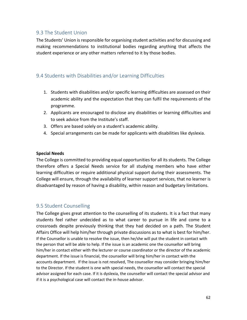## 9.3 The Student Union

The Students' Union is responsible for organising student activities and for discussing and making recommendations to institutional bodies regarding anything that affects the student experience or any other matters referred to it by those bodies.

## 9.4 Students with Disabilities and/or Learning Difficulties

- 1. Students with disabilities and/or specific learning difficulties are assessed on their academic ability and the expectation that they can fulfil the requirements of the programme.
- 2. Applicants are encouraged to disclose any disabilities or learning difficulties and to seek advice from the Institute's staff.
- 3. Offers are based solely on a student's academic ability.
- 4. Special arrangements can be made for applicants with disabilities like dyslexia.

#### **Special Needs**

The College is committed to providing equal opportunities for all its students. The College therefore offers a Special Needs service for all studying members who have either learning difficulties or require additional physical support during their assessments. The College will ensure, through the availability of learner support services, that no learner is disadvantaged by reason of having a disability, within reason and budgetary limitations.

## 9.5 Student Counselling

The College gives great attention to the counselling of its students. It is a fact that many students feel rather undecided as to what career to pursue in life and come to a crossroads despite previously thinking that they had decided on a path. The Student Affairs Office will help him/her through private discussions as to what is best for him/her. If the Counsellor is unable to resolve the issue, then he/she will put the student in contact with the person that will be able to help. If the issue is an academic one the counsellor will bring him/her in contact either with the lecturer or course coordinator or the director of the academic department. If the issue is financial, the counsellor will bring him/her in contact with the accounts department. If the issue is not resolved, The counsellor may consider bringing him/her to the Director. If the student is one with special needs, the counsellor will contact the special advisor assigned for each case. If it is dyslexia, the counsellor will contact the special advisor and if it is a psychological case will contact the in-house advisor.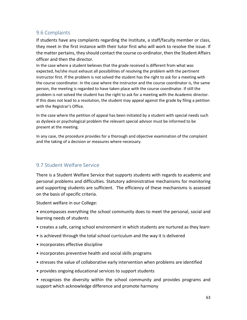## 9.6 Complaints

If students have any complaints regarding the Institute, a staff/faculty member or class, they meet in the first instance with their tutor first who will work to resolve the issue. If the matter pertains, they should contact the course co-ordinator, then the Student Affairs officer and then the director.

In the case where a student believes that the grade received is different from what was expected, he/she must exhaust all possibilities of resolving the problem with the pertinent instructor first. If the problem is not solved the student has the right to ask for a meeting with the course coordinator. In the case where the instructor and the course coordinator is, the same person, the meeting is regarded to have taken place with the course coordinator. If still the problem is not solved the student has the right to ask for a meeting with the Academic director. If this does not lead to a resolution, the student may appeal against the grade by filing a petition with the Registrar's Office.

In the case where the petition of appeal has been initiated by a student with special needs such as dyslexia or psychological problem the relevant special advisor must be informed to be present at the meeting.

In any case, the procedure provides for a thorough and objective examination of the complaint and the taking of a decision or measures where necessary.

## 9.7 Student Welfare Service

There is a Student Welfare Service that supports students with regards to academic and personal problems and difficulties. Statutory administrative mechanisms for monitoring and supporting students are sufficient. The efficiency of these mechanisms is assessed on the basis of specific criteria.

Student welfare in our College:

• encompasses everything the school community does to meet the personal, social and learning needs of students

- creates a safe, caring school environment in which students are nurtured as they learn
- is achieved through the total school curriculum and the way it is delivered
- incorporates effective discipline
- incorporates preventive health and social skills programs
- stresses the value of collaborative early intervention when problems are identified
- provides ongoing educational services to support students

• recognizes the diversity within the school community and provides programs and support which acknowledge difference and promote harmony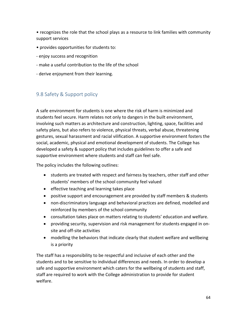• recognizes the role that the school plays as a resource to link families with community support services

- provides opportunities for students to:
- enjoy success and recognition
- make a useful contribution to the life of the school
- derive enjoyment from their learning.

# 9.8 Safety & Support policy

A safe environment for students is one where the risk of harm is minimized and students feel secure. Harm relates not only to dangers in the built environment, involving such matters as architecture and construction, lighting, space, facilities and safety plans, but also refers to violence, physical threats, verbal abuse, threatening gestures, sexual harassment and racial vilification. A supportive environment fosters the social, academic, physical and emotional development of students. The College has developed a safety & support policy that includes guidelines to offer a safe and supportive environment where students and staff can feel safe.

The policy includes the following outlines:

- students are treated with respect and fairness by teachers, other staff and other students' members of the school community feel valued
- **•** effective teaching and learning takes place
- positive support and encouragement are provided by staff members & students
- non-discriminatory language and behavioral practices are defined, modelled and reinforced by members of the school community
- consultation takes place on matters relating to students' education and welfare.
- providing security, supervision and risk management for students engaged in onsite and off-site activities
- modelling the behaviors that indicate clearly that student welfare and wellbeing is a priority

The staff has a responsibility to be respectful and inclusive of each other and the students and to be sensitive to individual differences and needs. In order to develop a safe and supportive environment which caters for the wellbeing of students and staff, staff are required to work with the College administration to provide for student welfare.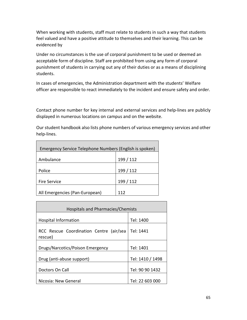When working with students, staff must relate to students in such a way that students feel valued and have a positive attitude to themselves and their learning. This can be evidenced by

Under no circumstances is the use of corporal punishment to be used or deemed an acceptable form of discipline. Staff are prohibited from using any form of corporal punishment of students in carrying out any of their duties or as a means of disciplining students.

In cases of emergencies, the Administration department with the students' Welfare officer are responsible to react immediately to the incident and ensure safety and order.

Contact phone number for key internal and external services and help-lines are publicly displayed in numerous locations on campus and on the website.

Our student handbook also lists phone numbers of various emergency services and other help-lines.

| Emergency Service Telephone Numbers (English is spoken) |           |
|---------------------------------------------------------|-----------|
| Ambulance                                               | 199 / 112 |
| Police                                                  | 199 / 112 |
| <b>Fire Service</b>                                     | 199 / 112 |
| All Emergencies (Pan-European)                          | 112       |

| Hospitals and Pharmacies/Chemists                  |                  |  |
|----------------------------------------------------|------------------|--|
| <b>Hospital Information</b>                        | Tel: 1400        |  |
| RCC Rescue Coordination Centre (air/sea<br>rescue) | Tel: 1441        |  |
| Drugs/Narcotics/Poison Emergency                   | Tel: 1401        |  |
| Drug (anti-abuse support)                          | Tel: 1410 / 1498 |  |
| Doctors On Call                                    | Tel: 90 90 1432  |  |
| Nicosia: New General                               | Tel: 22 603 000  |  |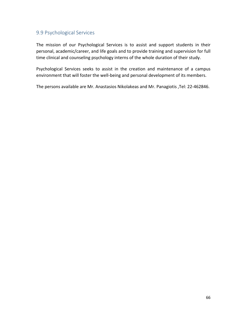## 9.9 Psychological Services

The mission of our Psychological Services is to assist and support students in their personal, academic/career, and life goals and to provide training and supervision for full time clinical and counseling psychology interns of the whole duration of their study.

Psychological Services seeks to assist in the creation and maintenance of a campus environment that will foster the well-being and personal development of its members.

The persons available are Mr. Anastasios Nikolakeas and Mr. Panagiotis ,Tel: 22-462846.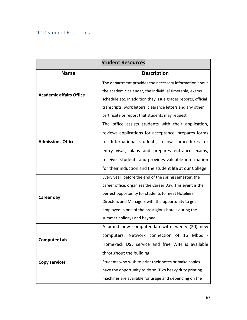# 9.10 Student Resources

| <b>Student Resources</b>       |                                                               |
|--------------------------------|---------------------------------------------------------------|
| <b>Name</b>                    | <b>Description</b>                                            |
| <b>Academic affairs Office</b> | The department provides the necessary information about       |
|                                | the academic calendar, the individual timetable, exams        |
|                                | schedule etc. In addition they issue grades reports, official |
|                                | transcripts, work letters, clearance letters and any other    |
|                                | certificate or report that students may request.              |
|                                | The office assists students with their application,           |
|                                | reviews applications for acceptance, prepares forms           |
| <b>Admissions Office</b>       | for International students, follows procedures for            |
|                                | entry visas, plans and prepares entrance exams,               |
|                                | receives students and provides valuable information           |
|                                | for their induction and the student life at our College.      |
| Career day                     | Every year, before the end of the spring semester, the        |
|                                | career office, organizes the Career Day. This event is the    |
|                                | perfect opportunity for students to meet Hoteliers,           |
|                                | Directors and Managers with the opportunity to get            |
|                                | employed in one of the prestigious hotels during the          |
|                                | summer holidays and beyond.                                   |
|                                | A brand new computer lab with twenty (20) new                 |
|                                | computers. Network connection of 16<br>Mbps                   |
| <b>Computer Lab</b>            | HomePack DSL service and free WIFI is available               |
|                                | throughout the building.                                      |
| <b>Copy services</b>           | Students who wish to print their notes or make copies         |
|                                | have the opportunity to do so. Two heavy duty printing        |
|                                | machines are available for usage and depending on the         |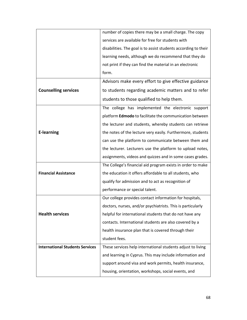|                                        | number of copies there may be a small charge. The copy          |
|----------------------------------------|-----------------------------------------------------------------|
|                                        | services are available for free for students with               |
|                                        | disabilities. The goal is to assist students according to their |
|                                        | learning needs, although we do recommend that they do           |
|                                        | not print if they can find the material in an electronic        |
|                                        | form.                                                           |
|                                        | Advisors make every effort to give effective guidance           |
| <b>Counselling services</b>            | to students regarding academic matters and to refer             |
|                                        | students to those qualified to help them.                       |
|                                        | The college has implemented the electronic support              |
|                                        | platform Edmodo to facilitate the communication between         |
|                                        | the lecturer and students, whereby students can retrieve        |
| <b>E-learning</b>                      | the notes of the lecture very easily. Furthermore, students     |
|                                        | can use the platform to communicate between them and            |
|                                        | the lecturer. Lecturers use the platform to upload notes,       |
|                                        | assignments, videos and quizzes and in some cases grades.       |
|                                        | The College's financial aid program exists in order to make     |
| <b>Financial Assistance</b>            | the education it offers affordable to all students, who         |
|                                        | qualify for admission and to act as recognition of              |
|                                        | performance or special talent.                                  |
|                                        | Our college provides contact information for hospitals,         |
|                                        | doctors, nurses, and/or psychiatrists. This is particularly     |
| <b>Health services</b>                 | helpful for international students that do not have any         |
|                                        | contacts. International students are also covered by a          |
|                                        | health insurance plan that is covered through their             |
|                                        | student fees.                                                   |
| <b>International Students Services</b> | These services help international students adjust to living     |
|                                        | and learning in Cyprus. This may include information and        |
|                                        | support around visa and work permits, health insurance,         |
|                                        | housing, orientation, workshops, social events, and             |
|                                        |                                                                 |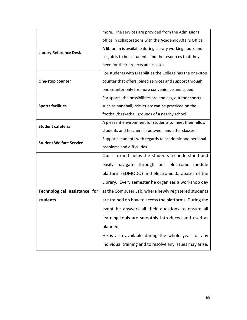|                                | more. The services are provided from the Admissions         |
|--------------------------------|-------------------------------------------------------------|
|                                | office in collaborations with the Academic Affairs Office.  |
| <b>Library Reference Desk</b>  | A librarian is available during Library working hours and   |
|                                | his job is to help students find the resources that they    |
|                                | need for their projects and classes.                        |
|                                | For students with Disabilities the College has the one-stop |
| <b>One-stop counter</b>        | counter that offers joined services and support through     |
|                                | one counter only for more convenience and speed.            |
| <b>Sports facilities</b>       | For sports, the possibilities are endless, outdoor sports   |
|                                | such as handball; cricket etc can be practiced on the       |
|                                | football/basketball grounds of a nearby school.             |
| <b>Student cafeteria</b>       | A pleasant environment for students to meet their fellow    |
|                                | students and teachers in between and after classes.         |
| <b>Student Welfare Service</b> | Supports students with regards to academic and personal     |
|                                | problems and difficulties.                                  |
|                                | Our IT expert helps the students to understand and          |
|                                | easily navigate through our electronic module               |
|                                | platform (EDMODO) and electronic databases of the           |
|                                | Library. Every semester he organizes a workshop day         |
| Technological assistance for   | at the Computer Lab, where newly registered students        |
| students                       | are trained on how to access the platforms. During the      |
|                                | event he answers all their questions to ensure all          |
|                                | learning tools are smoothly introduced and used as          |
|                                | planned.                                                    |
|                                | He is also available during the whole year for any          |
|                                | individual training and to resolve any issues may arise.    |
|                                |                                                             |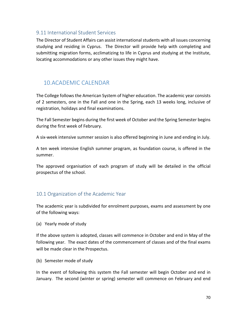## 9.11 International Student Services

The Director of Student Affairs can assist international students with all issues concerning studying and residing in Cyprus. The Director will provide help with completing and submitting migration forms, acclimatizing to life in Cyprus and studying at the Institute, locating accommodations or any other issues they might have.

# 10.ACADEMIC CALENDAR

The College follows the American System of higher education. The academic year consists of 2 semesters, one in the Fall and one in the Spring, each 13 weeks long, inclusive of registration, holidays and final examinations.

The Fall Semester begins during the first week of October and the Spring Semester begins during the first week of February.

A six-week intensive summer session is also offered beginning in June and ending in July.

A ten week intensive English summer program, as foundation course, is offered in the summer.

The approved organisation of each program of study will be detailed in the official prospectus of the school.

## 10.1 Organization of the Academic Year

The academic year is subdivided for enrolment purposes, exams and assessment by one of the following ways:

(a) Yearly mode of study

If the above system is adopted, classes will commence in October and end in May of the following year. The exact dates of the commencement of classes and of the final exams will be made clear in the Prospectus.

(b) Semester mode of study

In the event of following this system the Fall semester will begin October and end in January. The second (winter or spring) semester will commence on February and end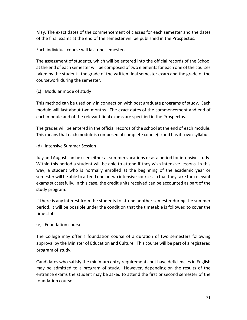May. The exact dates of the commencement of classes for each semester and the dates of the final exams at the end of the semester will be published in the Prospectus.

Each individual course will last one semester.

The assessment of students, which will be entered into the official records of the School at the end of each semester will be composed of two elements for each one of the courses taken by the student: the grade of the written final semester exam and the grade of the coursework during the semester.

(c) Modular mode of study

This method can be used only in connection with post graduate programs of study. Each module will last about two months. The exact dates of the commencement and end of each module and of the relevant final exams are specified in the Prospectus.

The grades will be entered in the official records of the school at the end of each module. This means that each module is composed of complete course(s) and has its own syllabus.

(d) Intensive Summer Session

July and August can be used either as summer vacations or as a period for intensive study. Within this period a student will be able to attend if they wish intensive lessons. In this way, a student who is normally enrolled at the beginning of the academic year or semester will be able to attend one or two intensive courses so that they take the relevant exams successfully. In this case, the credit units received can be accounted as part of the study program.

If there is any interest from the students to attend another semester during the summer period, it will be possible under the condition that the timetable is followed to cover the time slots.

## (e) Foundation course

The College may offer a foundation course of a duration of two semesters following approval by the Minister of Education and Culture. This course will be part of a registered program of study.

Candidates who satisfy the minimum entry requirements but have deficiencies in English may be admitted to a program of study. However, depending on the results of the entrance exams the student may be asked to attend the first or second semester of the foundation course.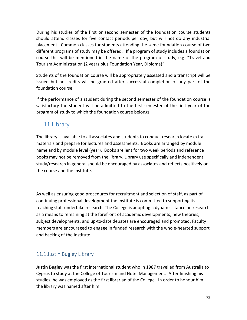During his studies of the first or second semester of the foundation course students should attend classes for five contact periods per day, but will not do any industrial placement. Common classes for students attending the same foundation course of two different programs of study may be offered. If a program of study includes a foundation course this will be mentioned in the name of the program of study, e.g. "Travel and Tourism Administration (2 years plus Foundation Year, Diploma)"

Students of the foundation course will be appropriately assessed and a transcript will be issued but no credits will be granted after successful completion of any part of the foundation course.

If the performance of a student during the second semester of the foundation course is satisfactory the student will be admitted to the first semester of the first year of the program of study to which the foundation course belongs.

# 11.Library

The library is available to all associates and students to conduct research locate extra materials and prepare for lectures and assessments. Books are arranged by module name and by module level (year). Books are lent for two week periods and reference books may not be removed from the library. Library use specifically and independent study/research in general should be encouraged by associates and reflects positively on the course and the Institute.

As well as ensuring good procedures for recruitment and selection of staff, as part of continuing professional development the Institute is committed to supporting its teaching staff undertake research. The College is adopting a dynamic stance on research as a means to remaining at the forefront of academic developments; new theories, subject developments, and up-to-date debates are encouraged and promoted. Faculty members are encouraged to engage in funded research with the whole-hearted support and backing of the Institute.

# 11.1 Justin Bugley Library

**Justin Bugley** was the first international student who in 1987 travelled from Australia to Cyprus to study at the College of Tourism and Hotel Management. After finishing his studies, he was employed as the first librarian of the College. In order to honour him the library was named after him.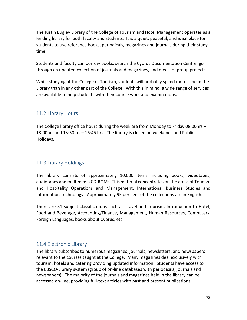The Justin Bugley Library of the College of Tourism and Hotel Management operates as a lending library for both faculty and students. It is a quiet, peaceful, and ideal place for students to use reference books, periodicals, magazines and journals during their study time.

Students and faculty can borrow books, search the Cyprus Documentation Centre, go through an updated collection of journals and magazines, and meet for group projects.

While studying at the College of Tourism, students will probably spend more time in the Library than in any other part of the College. With this in mind, a wide range of services are available to help students with their course work and examinations.

## 11.2 Library Hours

The College library office hours during the week are from Monday to Friday 08:00hrs – 13:00hrs and 13:30hrs – 16:45 hrs. The library is closed on weekends and Public Holidays.

## 11.3 Library Holdings

The library consists of approximately 10,000 items including books, videotapes, audiotapes and multimedia CD-ROMs. This material concentrates on the areas of Tourism and Hospitality Operations and Management, International Business Studies and Information Technology. Approximately 95 per cent of the collections are in English.

There are 51 subject classifications such as Travel and Tourism, Introduction to Hotel, Food and Beverage, Accounting/Finance, Management, Human Resources, Computers, Foreign Languages, books about Cyprus, etc.

## 11.4 Electronic Library

The library subscribes to numerous magazines, journals, newsletters, and newspapers relevant to the courses taught at the College. Many magazines deal exclusively with tourism, hotels and catering providing updated information. Students have access to the EBSCO-Library system (group of on-line databases with periodicals, journals and newspapers). The majority of the journals and magazines held in the library can be accessed on-line, providing full-text articles with past and present publications.